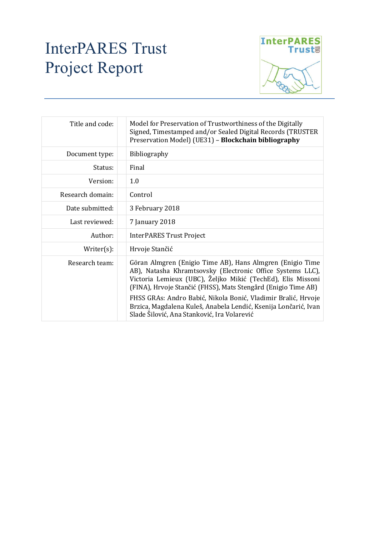## InterPARES Trust Project Report



| Title and code:  | Model for Preservation of Trustworthiness of the Digitally<br>Signed, Timestamped and/or Sealed Digital Records (TRUSTER<br>Preservation Model) (UE31) - Blockchain bibliography                                                                                                                                                                                                                                                           |  |  |
|------------------|--------------------------------------------------------------------------------------------------------------------------------------------------------------------------------------------------------------------------------------------------------------------------------------------------------------------------------------------------------------------------------------------------------------------------------------------|--|--|
| Document type:   | Bibliography                                                                                                                                                                                                                                                                                                                                                                                                                               |  |  |
| Status:          | Final                                                                                                                                                                                                                                                                                                                                                                                                                                      |  |  |
| Version:         | 1.0                                                                                                                                                                                                                                                                                                                                                                                                                                        |  |  |
| Research domain: | Control                                                                                                                                                                                                                                                                                                                                                                                                                                    |  |  |
| Date submitted:  | 3 February 2018                                                                                                                                                                                                                                                                                                                                                                                                                            |  |  |
| Last reviewed:   | 7 January 2018                                                                                                                                                                                                                                                                                                                                                                                                                             |  |  |
| Author:          | <b>InterPARES Trust Project</b>                                                                                                                                                                                                                                                                                                                                                                                                            |  |  |
| $Writer(s)$ :    | Hrvoje Stančić                                                                                                                                                                                                                                                                                                                                                                                                                             |  |  |
| Research team:   | Göran Almgren (Enigio Time AB), Hans Almgren (Enigio Time<br>AB), Natasha Khramtsovsky (Electronic Office Systems LLC),<br>Victoria Lemieux (UBC), Željko Mikić (TechEd), Elis Missoni<br>(FINA), Hrvoje Stančić (FHSS), Mats Stengård (Enigio Time AB)<br>FHSS GRAs: Andro Babić, Nikola Bonić, Vladimir Bralić, Hrvoje<br>Brzica, Magdalena Kuleš, Anabela Lendić, Ksenija Lončarić, Ivan<br>Slade Šilović, Ana Stanković, Ira Volarević |  |  |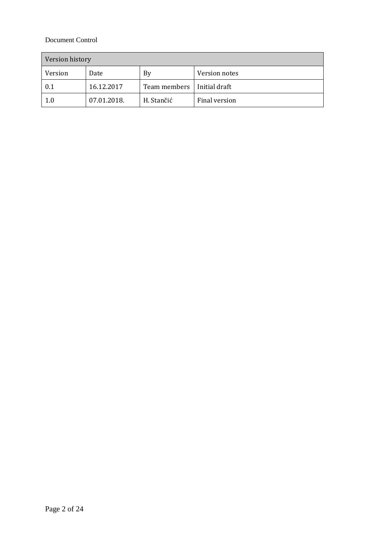## Document Control

| Version history |             |                              |               |  |
|-----------------|-------------|------------------------------|---------------|--|
| Version         | Date        | By                           | Version notes |  |
| 0.1             | 16.12.2017  | Team members   Initial draft |               |  |
| 1.0             | 07.01.2018. | H. Stančić                   | Final version |  |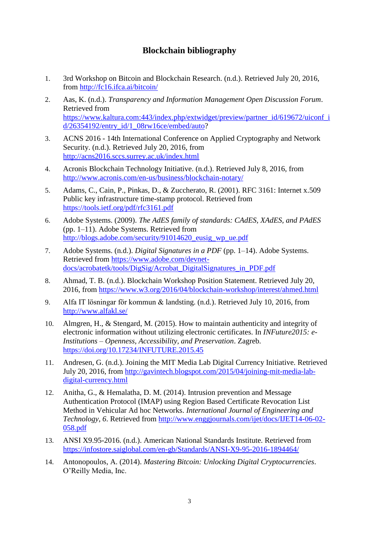## **Blockchain bibliography**

- 1. 3rd Workshop on Bitcoin and Blockchain Research. (n.d.). Retrieved July 20, 2016, from<http://fc16.ifca.ai/bitcoin/>
- 2. Aas, K. (n.d.). *Transparency and Information Management Open Discussion Forum*. Retrieved from [https://www.kaltura.com:443/index.php/extwidget/preview/partner\\_id/619672/uiconf\\_i](https://www.kaltura.com/index.php/extwidget/preview/partner_id/619672/uiconf_id/26354192/entry_id/1_08rw16ce/embed/auto) [d/26354192/entry\\_id/1\\_08rw16ce/embed/auto?](https://www.kaltura.com/index.php/extwidget/preview/partner_id/619672/uiconf_id/26354192/entry_id/1_08rw16ce/embed/auto)
- 3. ACNS 2016 14th International Conference on Applied Cryptography and Network Security. (n.d.). Retrieved July 20, 2016, from <http://acns2016.sccs.surrey.ac.uk/index.html>
- 4. Acronis Blockchain Technology Initiative. (n.d.). Retrieved July 8, 2016, from <http://www.acronis.com/en-us/business/blockchain-notary/>
- 5. Adams, C., Cain, P., Pinkas, D., & Zuccherato, R. (2001). RFC 3161: Internet x.509 Public key infrastructure time-stamp protocol. Retrieved from <https://tools.ietf.org/pdf/rfc3161.pdf>
- 6. Adobe Systems. (2009). *The AdES family of standards: CAdES, XAdES, and PAdES* (pp. 1–11). Adobe Systems. Retrieved from [http://blogs.adobe.com/security/91014620\\_eusig\\_wp\\_ue.pdf](http://blogs.adobe.com/security/91014620_eusig_wp_ue.pdf)
- 7. Adobe Systems. (n.d.). *Digital Signatures in a PDF* (pp. 1–14). Adobe Systems. Retrieved from [https://www.adobe.com/devnet](https://www.adobe.com/devnet-docs/acrobatetk/tools/DigSig/Acrobat_DigitalSignatures_in_PDF.pdf)[docs/acrobatetk/tools/DigSig/Acrobat\\_DigitalSignatures\\_in\\_PDF.pdf](https://www.adobe.com/devnet-docs/acrobatetk/tools/DigSig/Acrobat_DigitalSignatures_in_PDF.pdf)
- 8. Ahmad, T. B. (n.d.). Blockchain Workshop Position Statement. Retrieved July 20, 2016, from<https://www.w3.org/2016/04/blockchain-workshop/interest/ahmed.html>
- 9. Alfa IT lösningar för kommun & landsting. (n.d.). Retrieved July 10, 2016, from <http://www.alfakl.se/>
- 10. Almgren, H., & Stengard, M. (2015). How to maintain authenticity and integrity of electronic information without utilizing electronic certificates. In *INFuture2015: e-Institutions – Openness, Accessibility, and Preservation*. Zagreb. <https://doi.org/10.17234/INFUTURE.2015.45>
- 11. Andresen, G. (n.d.). Joining the MIT Media Lab Digital Currency Initiative. Retrieved July 20, 2016, from [http://gavintech.blogspot.com/2015/04/joining-mit-media-lab](http://gavintech.blogspot.com/2015/04/joining-mit-media-lab-digital-currency.html)[digital-currency.html](http://gavintech.blogspot.com/2015/04/joining-mit-media-lab-digital-currency.html)
- 12. Anitha, G., & Hemalatha, D. M. (2014). Intrusion prevention and Message Authentication Protocol (IMAP) using Region Based Certificate Revocation List Method in Vehicular Ad hoc Networks. *International Journal of Engineering and Technology*, *6*. Retrieved from [http://www.enggjournals.com/ijet/docs/IJET14-06-02-](http://www.enggjournals.com/ijet/docs/IJET14-06-02-058.pdf) [058.pdf](http://www.enggjournals.com/ijet/docs/IJET14-06-02-058.pdf)
- 13. ANSI X9.95-2016. (n.d.). American National Standards Institute. Retrieved from <https://infostore.saiglobal.com/en-gb/Standards/ANSI-X9-95-2016-1894464/>
- 14. Antonopoulos, A. (2014). *Mastering Bitcoin: Unlocking Digital Cryptocurrencies*. O'Reilly Media, Inc.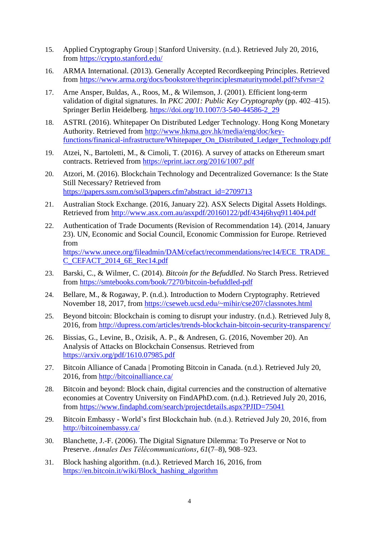- 15. Applied Cryptography Group | Stanford University. (n.d.). Retrieved July 20, 2016, from<https://crypto.stanford.edu/>
- 16. ARMA International. (2013). Generally Accepted Recordkeeping Principles. Retrieved from<https://www.arma.org/docs/bookstore/theprinciplesmaturitymodel.pdf?sfvrsn=2>
- 17. Arne Ansper, Buldas, A., Roos, M., & Wilemson, J. (2001). Efficient long-term validation of digital signatures. In *PKC 2001: Public Key Cryptography* (pp. 402–415). Springer Berlin Heidelberg. [https://doi.org/10.1007/3-540-44586-2\\_29](https://doi.org/10.1007/3-540-44586-2_29)
- 18. ASTRI. (2016). Whitepaper On Distributed Ledger Technology. Hong Kong Monetary Authority. Retrieved from [http://www.hkma.gov.hk/media/eng/doc/key](http://www.hkma.gov.hk/media/eng/doc/key-functions/finanical-infrastructure/Whitepaper_On_Distributed_Ledger_Technology.pdf)[functions/finanical-infrastructure/Whitepaper\\_On\\_Distributed\\_Ledger\\_Technology.pdf](http://www.hkma.gov.hk/media/eng/doc/key-functions/finanical-infrastructure/Whitepaper_On_Distributed_Ledger_Technology.pdf)
- 19. Atzei, N., Bartoletti, M., & Cimoli, T. (2016). A survey of attacks on Ethereum smart contracts. Retrieved from<https://eprint.iacr.org/2016/1007.pdf>
- 20. Atzori, M. (2016). Blockchain Technology and Decentralized Governance: Is the State Still Necessary? Retrieved from [https://papers.ssrn.com/sol3/papers.cfm?abstract\\_id=2709713](https://papers.ssrn.com/sol3/papers.cfm?abstract_id=2709713)
- 21. Australian Stock Exchange. (2016, January 22). ASX Selects Digital Assets Holdings. Retrieved from<http://www.asx.com.au/asxpdf/20160122/pdf/434j6hyq911404.pdf>
- 22. Authentication of Trade Documents (Revision of Recommendation 14). (2014, January 23). UN, Economic and Social Council, Economic Commission for Europe. Retrieved from [https://www.unece.org/fileadmin/DAM/cefact/recommendations/rec14/ECE\\_TRADE\\_](https://www.unece.org/fileadmin/DAM/cefact/recommendations/rec14/ECE_TRADE_C_CEFACT_2014_6E_Rec14.pdf) [C\\_CEFACT\\_2014\\_6E\\_Rec14.pdf](https://www.unece.org/fileadmin/DAM/cefact/recommendations/rec14/ECE_TRADE_C_CEFACT_2014_6E_Rec14.pdf)
- 23. Barski, C., & Wilmer, C. (2014). *Bitcoin for the Befuddled*. No Starch Press. Retrieved from<https://smtebooks.com/book/7270/bitcoin-befuddled-pdf>
- 24. Bellare, M., & Rogaway, P. (n.d.). Introduction to Modern Cryptography. Retrieved November 18, 2017, from<https://cseweb.ucsd.edu/~mihir/cse207/classnotes.html>
- 25. Beyond bitcoin: Blockchain is coming to disrupt your industry. (n.d.). Retrieved July 8, 2016, from<http://dupress.com/articles/trends-blockchain-bitcoin-security-transparency/>
- 26. Bissias, G., Levine, B., Ozisik, A. P., & Andresen, G. (2016, November 20). An Analysis of Attacks on Blockchain Consensus. Retrieved from <https://arxiv.org/pdf/1610.07985.pdf>
- 27. Bitcoin Alliance of Canada | Promoting Bitcoin in Canada. (n.d.). Retrieved July 20, 2016, from<http://bitcoinalliance.ca/>
- 28. Bitcoin and beyond: Block chain, digital currencies and the construction of alternative economies at Coventry University on FindAPhD.com. (n.d.). Retrieved July 20, 2016, from<https://www.findaphd.com/search/projectdetails.aspx?PJID=75041>
- 29. Bitcoin Embassy World's first Blockchain hub. (n.d.). Retrieved July 20, 2016, from <http://bitcoinembassy.ca/>
- 30. Blanchette, J.-F. (2006). The Digital Signature Dilemma: To Preserve or Not to Preserve. *Annales Des Télécommunications*, *61*(7–8), 908–923.
- 31. Block hashing algorithm. (n.d.). Retrieved March 16, 2016, from [https://en.bitcoin.it/wiki/Block\\_hashing\\_algorithm](https://en.bitcoin.it/wiki/Block_hashing_algorithm)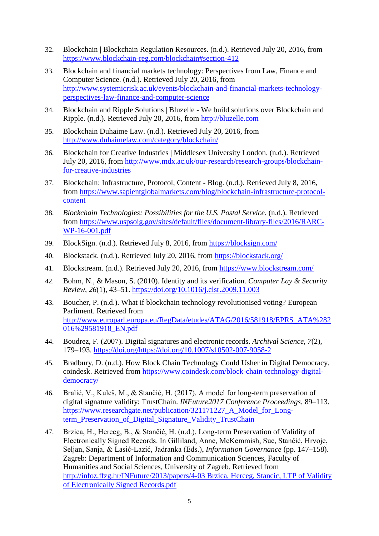- 32. Blockchain | Blockchain Regulation Resources. (n.d.). Retrieved July 20, 2016, from <https://www.blockchain-reg.com/blockchain#section-412>
- 33. Blockchain and financial markets technology: Perspectives from Law, Finance and Computer Science. (n.d.). Retrieved July 20, 2016, from [http://www.systemicrisk.ac.uk/events/blockchain-and-financial-markets-technology](http://www.systemicrisk.ac.uk/events/blockchain-and-financial-markets-technology-perspectives-law-finance-and-computer-science)[perspectives-law-finance-and-computer-science](http://www.systemicrisk.ac.uk/events/blockchain-and-financial-markets-technology-perspectives-law-finance-and-computer-science)
- 34. Blockchain and Ripple Solutions | Bluzelle We build solutions over Blockchain and Ripple. (n.d.). Retrieved July 20, 2016, from [http://bluzelle.com](http://bluzelle.com/)
- 35. Blockchain Duhaime Law. (n.d.). Retrieved July 20, 2016, from <http://www.duhaimelaw.com/category/blockchain/>
- 36. Blockchain for Creative Industries | Middlesex University London. (n.d.). Retrieved July 20, 2016, from [http://www.mdx.ac.uk/our-research/research-groups/blockchain](http://www.mdx.ac.uk/our-research/research-groups/blockchain-for-creative-industries)[for-creative-industries](http://www.mdx.ac.uk/our-research/research-groups/blockchain-for-creative-industries)
- 37. Blockchain: Infrastructure, Protocol, Content Blog. (n.d.). Retrieved July 8, 2016, from [https://www.sapientglobalmarkets.com/blog/blockchain-infrastructure-protocol](https://www.sapientglobalmarkets.com/blog/blockchain-infrastructure-protocol-content)[content](https://www.sapientglobalmarkets.com/blog/blockchain-infrastructure-protocol-content)
- 38. *Blockchain Technologies: Possibilities for the U.S. Postal Service*. (n.d.). Retrieved from [https://www.uspsoig.gov/sites/default/files/document-library-files/2016/RARC-](https://www.uspsoig.gov/sites/default/files/document-library-files/2016/RARC-WP-16-001.pdf)[WP-16-001.pdf](https://www.uspsoig.gov/sites/default/files/document-library-files/2016/RARC-WP-16-001.pdf)
- 39. BlockSign. (n.d.). Retrieved July 8, 2016, from<https://blocksign.com/>
- 40. Blockstack. (n.d.). Retrieved July 20, 2016, from<https://blockstack.org/>
- 41. Blockstream. (n.d.). Retrieved July 20, 2016, from<https://www.blockstream.com/>
- 42. Bohm, N., & Mason, S. (2010). Identity and its verification. *Computer Lay & Security Review*, *26*(1), 43–51.<https://doi.org/10.1016/j.clsr.2009.11.003>
- 43. Boucher, P. (n.d.). What if blockchain technology revolutionised voting? European Parliment. Retrieved from [http://www.europarl.europa.eu/RegData/etudes/ATAG/2016/581918/EPRS\\_ATA%282](http://www.europarl.europa.eu/RegData/etudes/ATAG/2016/581918/EPRS_ATA%282016%29581918_EN.pdf) [016%29581918\\_EN.pdf](http://www.europarl.europa.eu/RegData/etudes/ATAG/2016/581918/EPRS_ATA%282016%29581918_EN.pdf)
- 44. Boudrez, F. (2007). Digital signatures and electronic records. *Archival Science*, *7*(2), 179–193. [https://doi.org/https://doi.org/10.1007/s10502-007-9058-2](https://doi.org/https:/doi.org/10.1007/s10502-007-9058-2)
- 45. Bradbury, D. (n.d.). How Block Chain Technology Could Usher in Digital Democracy. coindesk. Retrieved from [https://www.coindesk.com/block-chain-technology-digital](https://www.coindesk.com/block-chain-technology-digital-democracy/)[democracy/](https://www.coindesk.com/block-chain-technology-digital-democracy/)
- 46. Bralić, V., Kuleš, M., & Stančić, H. (2017). A model for long-term preservation of digital signature validity: TrustChain. *INFuture2017 Conference Proceedings*, 89–113. https://www.researchgate.net/publication/321171227 A Model for Long[term\\_Preservation\\_of\\_Digital\\_Signature\\_Validity\\_TrustChain](https://www.researchgate.net/publication/321171227_A_Model_for_Long-term_Preservation_of_Digital_Signature_Validity_TrustChain)
- 47. Brzica, H., Herceg, B., & Stančić, H. (n.d.). Long-term Preservation of Validity of Electronically Signed Records. In Gilliland, Anne, McKemmish, Sue, Stančić, Hrvoje, Seljan, Sanja, & Lasić-Lazić, Jadranka (Eds.), *Information Governance* (pp. 147–158). Zagreb: Department of Information and Communication Sciences, Faculty of Humanities and Social Sciences, University of Zagreb. Retrieved from [http://infoz.ffzg.hr/INFuture/2013/papers/4-03 Brzica, Herceg, Stancic, LTP of Validity](http://infoz.ffzg.hr/INFuture/2013/papers/4-03%20Brzica,%20Herceg,%20Stancic,%20LTP%20of%20Validity%20of%20Electronically%20Signed%20Records.pdf)  [of Electronically Signed Records.pdf](http://infoz.ffzg.hr/INFuture/2013/papers/4-03%20Brzica,%20Herceg,%20Stancic,%20LTP%20of%20Validity%20of%20Electronically%20Signed%20Records.pdf)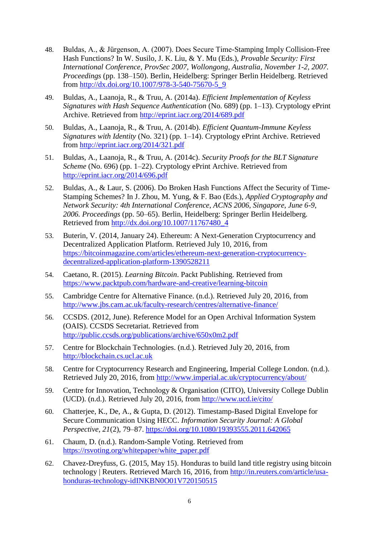- 48. Buldas, A., & Jürgenson, A. (2007). Does Secure Time-Stamping Imply Collision-Free Hash Functions? In W. Susilo, J. K. Liu, & Y. Mu (Eds.), *Provable Security: First International Conference, ProvSec 2007, Wollongong, Australia, November 1-2, 2007. Proceedings* (pp. 138–150). Berlin, Heidelberg: Springer Berlin Heidelberg. Retrieved from [http://dx.doi.org/10.1007/978-3-540-75670-5\\_9](http://dx.doi.org/10.1007/978-3-540-75670-5_9)
- 49. Buldas, A., Laanoja, R., & Truu, A. (2014a). *Efficient Implementation of Keyless Signatures with Hash Sequence Authentication* (No. 689) (pp. 1–13). Cryptology ePrint Archive. Retrieved from<http://eprint.iacr.org/2014/689.pdf>
- 50. Buldas, A., Laanoja, R., & Truu, A. (2014b). *Efficient Quantum-Immune Keyless Signatures with Identity* (No. 321) (pp. 1–14). Cryptology ePrint Archive. Retrieved from<http://eprint.iacr.org/2014/321.pdf>
- 51. Buldas, A., Laanoja, R., & Truu, A. (2014c). *Security Proofs for the BLT Signature Scheme* (No. 696) (pp. 1–22). Cryptology ePrint Archive. Retrieved from <http://eprint.iacr.org/2014/696.pdf>
- 52. Buldas, A., & Laur, S. (2006). Do Broken Hash Functions Affect the Security of Time-Stamping Schemes? In J. Zhou, M. Yung, & F. Bao (Eds.), *Applied Cryptography and Network Security: 4th International Conference, ACNS 2006, Singapore, June 6-9, 2006. Proceedings* (pp. 50–65). Berlin, Heidelberg: Springer Berlin Heidelberg. Retrieved from [http://dx.doi.org/10.1007/11767480\\_4](http://dx.doi.org/10.1007/11767480_4)
- 53. Buterin, V. (2014, January 24). Ethereum: A Next-Generation Cryptocurrency and Decentralized Application Platform. Retrieved July 10, 2016, from [https://bitcoinmagazine.com/articles/ethereum-next-generation-cryptocurrency](https://bitcoinmagazine.com/articles/ethereum-next-generation-cryptocurrency-decentralized-application-platform-1390528211)[decentralized-application-platform-1390528211](https://bitcoinmagazine.com/articles/ethereum-next-generation-cryptocurrency-decentralized-application-platform-1390528211)
- 54. Caetano, R. (2015). *Learning Bitcoin*. Packt Publishing. Retrieved from <https://www.packtpub.com/hardware-and-creative/learning-bitcoin>
- 55. Cambridge Centre for Alternative Finance. (n.d.). Retrieved July 20, 2016, from <http://www.jbs.cam.ac.uk/faculty-research/centres/alternative-finance/>
- 56. CCSDS. (2012, June). Reference Model for an Open Archival Information System (OAIS). CCSDS Secretariat. Retrieved from <http://public.ccsds.org/publications/archive/650x0m2.pdf>
- 57. Centre for Blockchain Technologies. (n.d.). Retrieved July 20, 2016, from [http://blockchain.cs.ucl.ac.uk](http://blockchain.cs.ucl.ac.uk/)
- 58. Centre for Cryptocurrency Research and Engineering, Imperial College London. (n.d.). Retrieved July 20, 2016, from<http://www.imperial.ac.uk/cryptocurrency/about/>
- 59. Centre for Innovation, Technology & Organisation (CITO), University College Dublin (UCD). (n.d.). Retrieved July 20, 2016, from<http://www.ucd.ie/cito/>
- 60. Chatterjee, K., De, A., & Gupta, D. (2012). Timestamp-Based Digital Envelope for Secure Communication Using HECC. *Information Security Journal: A Global Perspective*, *21*(2), 79–87.<https://doi.org/10.1080/19393555.2011.642065>
- 61. Chaum, D. (n.d.). Random-Sample Voting. Retrieved from [https://rsvoting.org/whitepaper/white\\_paper.pdf](https://rsvoting.org/whitepaper/white_paper.pdf)
- 62. Chavez-Dreyfuss, G. (2015, May 15). Honduras to build land title registry using bitcoin technology | Reuters. Retrieved March 16, 2016, from [http://in.reuters.com/article/usa](http://in.reuters.com/article/usa-honduras-technology-idINKBN0O01V720150515)[honduras-technology-idINKBN0O01V720150515](http://in.reuters.com/article/usa-honduras-technology-idINKBN0O01V720150515)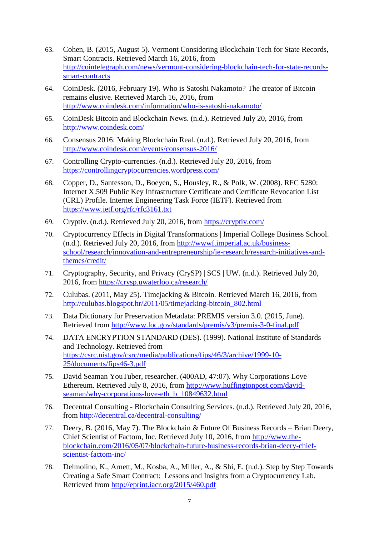- 63. Cohen, B. (2015, August 5). Vermont Considering Blockchain Tech for State Records, Smart Contracts. Retrieved March 16, 2016, from [http://cointelegraph.com/news/vermont-considering-blockchain-tech-for-state-records](http://cointelegraph.com/news/vermont-considering-blockchain-tech-for-state-records-smart-contracts)[smart-contracts](http://cointelegraph.com/news/vermont-considering-blockchain-tech-for-state-records-smart-contracts)
- 64. CoinDesk. (2016, February 19). Who is Satoshi Nakamoto? The creator of Bitcoin remains elusive. Retrieved March 16, 2016, from <http://www.coindesk.com/information/who-is-satoshi-nakamoto/>
- 65. CoinDesk Bitcoin and Blockchain News. (n.d.). Retrieved July 20, 2016, from <http://www.coindesk.com/>
- 66. Consensus 2016: Making Blockchain Real. (n.d.). Retrieved July 20, 2016, from <http://www.coindesk.com/events/consensus-2016/>
- 67. Controlling Crypto-currencies. (n.d.). Retrieved July 20, 2016, from <https://controllingcryptocurrencies.wordpress.com/>
- 68. Copper, D., Santesson, D., Boeyen, S., Housley, R., & Polk, W. (2008). RFC 5280: Internet X.509 Public Key Infrastructure Certificate and Certificate Revocation List (CRL) Profile. Internet Engineering Task Force (IETF). Retrieved from <https://www.ietf.org/rfc/rfc3161.txt>
- 69. Cryptiv. (n.d.). Retrieved July 20, 2016, from<https://cryptiv.com/>
- 70. Cryptocurrency Effects in Digital Transformations | Imperial College Business School. (n.d.). Retrieved July 20, 2016, from [http://wwwf.imperial.ac.uk/business](http://wwwf.imperial.ac.uk/business-school/research/innovation-and-entrepreneurship/ie-research/research-initiatives-and-themes/credit/)[school/research/innovation-and-entrepreneurship/ie-research/research-initiatives-and](http://wwwf.imperial.ac.uk/business-school/research/innovation-and-entrepreneurship/ie-research/research-initiatives-and-themes/credit/)[themes/credit/](http://wwwf.imperial.ac.uk/business-school/research/innovation-and-entrepreneurship/ie-research/research-initiatives-and-themes/credit/)
- 71. Cryptography, Security, and Privacy (CrySP) | SCS | UW. (n.d.). Retrieved July 20, 2016, from<https://crysp.uwaterloo.ca/research/>
- 72. Culubas. (2011, May 25). Timejacking & Bitcoin. Retrieved March 16, 2016, from [http://culubas.blogspot.hr/2011/05/timejacking-bitcoin\\_802.html](http://culubas.blogspot.hr/2011/05/timejacking-bitcoin_802.html)
- 73. Data Dictionary for Preservation Metadata: PREMIS version 3.0. (2015, June). Retrieved from<http://www.loc.gov/standards/premis/v3/premis-3-0-final.pdf>
- 74. DATA ENCRYPTION STANDARD (DES). (1999). National Institute of Standards and Technology. Retrieved from [https://csrc.nist.gov/csrc/media/publications/fips/46/3/archive/1999-10-](https://csrc.nist.gov/csrc/media/publications/fips/46/3/archive/1999-10-25/documents/fips46-3.pdf) [25/documents/fips46-3.pdf](https://csrc.nist.gov/csrc/media/publications/fips/46/3/archive/1999-10-25/documents/fips46-3.pdf)
- 75. David Seaman YouTuber, researcher. (400AD, 47:07). Why Corporations Love Ethereum. Retrieved July 8, 2016, from [http://www.huffingtonpost.com/david](http://www.huffingtonpost.com/david-seaman/why-corporations-love-eth_b_10849632.html)[seaman/why-corporations-love-eth\\_b\\_10849632.html](http://www.huffingtonpost.com/david-seaman/why-corporations-love-eth_b_10849632.html)
- 76. Decentral Consulting Blockchain Consulting Services. (n.d.). Retrieved July 20, 2016, from<http://decentral.ca/decentral-consulting/>
- 77. Deery, B. (2016, May 7). The Blockchain & Future Of Business Records Brian Deery, Chief Scientist of Factom, Inc. Retrieved July 10, 2016, from [http://www.the](http://www.the-blockchain.com/2016/05/07/blockchain-future-business-records-brian-deery-chief-scientist-factom-inc/)[blockchain.com/2016/05/07/blockchain-future-business-records-brian-deery-chief](http://www.the-blockchain.com/2016/05/07/blockchain-future-business-records-brian-deery-chief-scientist-factom-inc/)[scientist-factom-inc/](http://www.the-blockchain.com/2016/05/07/blockchain-future-business-records-brian-deery-chief-scientist-factom-inc/)
- 78. Delmolino, K., Arnett, M., Kosba, A., Miller, A., & Shi, E. (n.d.). Step by Step Towards Creating a Safe Smart Contract: Lessons and Insights from a Cryptocurrency Lab. Retrieved from<http://eprint.iacr.org/2015/460.pdf>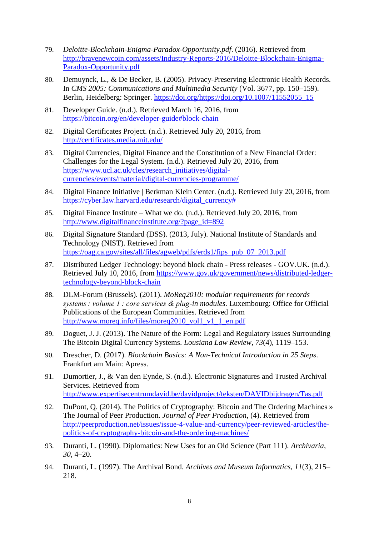- 79. *Deloitte-Blockchain-Enigma-Paradox-Opportunity.pdf*. (2016). Retrieved from [http://bravenewcoin.com/assets/Industry-Reports-2016/Deloitte-Blockchain-Enigma-](http://bravenewcoin.com/assets/Industry-Reports-2016/Deloitte-Blockchain-Enigma-Paradox-Opportunity.pdf)[Paradox-Opportunity.pdf](http://bravenewcoin.com/assets/Industry-Reports-2016/Deloitte-Blockchain-Enigma-Paradox-Opportunity.pdf)
- 80. Demuynck, L., & De Becker, B. (2005). Privacy-Preserving Electronic Health Records. In *CMS 2005: Communications and Multimedia Security* (Vol. 3677, pp. 150–159). Berlin, Heidelberg: Springer. [https://doi.org/https://doi.org/10.1007/11552055\\_15](https://doi.org/https:/doi.org/10.1007/11552055_15)
- 81. Developer Guide. (n.d.). Retrieved March 16, 2016, from <https://bitcoin.org/en/developer-guide#block-chain>
- 82. Digital Certificates Project. (n.d.). Retrieved July 20, 2016, from <http://certificates.media.mit.edu/>
- 83. Digital Currencies, Digital Finance and the Constitution of a New Financial Order: Challenges for the Legal System. (n.d.). Retrieved July 20, 2016, from [https://www.ucl.ac.uk/cles/research\\_initiatives/digital](https://www.ucl.ac.uk/cles/research_initiatives/digital-currencies/events/material/digital-currencies-programme/)[currencies/events/material/digital-currencies-programme/](https://www.ucl.ac.uk/cles/research_initiatives/digital-currencies/events/material/digital-currencies-programme/)
- 84. Digital Finance Initiative | Berkman Klein Center. (n.d.). Retrieved July 20, 2016, from [https://cyber.law.harvard.edu/research/digital\\_currency#](https://cyber.law.harvard.edu/research/digital_currency)
- 85. Digital Finance Institute What we do. (n.d.). Retrieved July 20, 2016, from [http://www.digitalfinanceinstitute.org/?page\\_id=892](http://www.digitalfinanceinstitute.org/?page_id=892)
- 86. Digital Signature Standard (DSS). (2013, July). National Institute of Standards and Technology (NIST). Retrieved from [https://oag.ca.gov/sites/all/files/agweb/pdfs/erds1/fips\\_pub\\_07\\_2013.pdf](https://oag.ca.gov/sites/all/files/agweb/pdfs/erds1/fips_pub_07_2013.pdf)
- 87. Distributed Ledger Technology: beyond block chain Press releases GOV.UK. (n.d.). Retrieved July 10, 2016, from [https://www.gov.uk/government/news/distributed-ledger](https://www.gov.uk/government/news/distributed-ledger-technology-beyond-block-chain)[technology-beyond-block-chain](https://www.gov.uk/government/news/distributed-ledger-technology-beyond-block-chain)
- 88. DLM-Forum (Brussels). (2011). *MoReq2010: modular requirements for records systems : volume 1 : core services & plug-in modules.* Luxembourg: Office for Official Publications of the European Communities. Retrieved from [http://www.moreq.info/files/moreq2010\\_vol1\\_v1\\_1\\_en.pdf](http://www.moreq.info/files/moreq2010_vol1_v1_1_en.pdf)
- 89. Doguet, J. J. (2013). The Nature of the Form: Legal and Regulatory Issues Surrounding The Bitcoin Digital Currency Systems. *Lousiana Law Review*, *73*(4), 1119–153.
- 90. Drescher, D. (2017). *Blockchain Basics: A Non-Technical Introduction in 25 Steps*. Frankfurt am Main: Apress.
- 91. Dumortier, J., & Van den Eynde, S. (n.d.). Electronic Signatures and Trusted Archival Services. Retrieved from <http://www.expertisecentrumdavid.be/davidproject/teksten/DAVIDbijdragen/Tas.pdf>
- 92. DuPont, Q. (2014). The Politics of Cryptography: Bitcoin and The Ordering Machines » The Journal of Peer Production. *Journal of Peer Production*, (4). Retrieved from [http://peerproduction.net/issues/issue-4-value-and-currency/peer-reviewed-articles/the](http://peerproduction.net/issues/issue-4-value-and-currency/peer-reviewed-articles/the-politics-of-cryptography-bitcoin-and-the-ordering-machines/)[politics-of-cryptography-bitcoin-and-the-ordering-machines/](http://peerproduction.net/issues/issue-4-value-and-currency/peer-reviewed-articles/the-politics-of-cryptography-bitcoin-and-the-ordering-machines/)
- 93. Duranti, L. (1990). Diplomatics: New Uses for an Old Science (Part 111). *Archivaria*, *30*, 4–20.
- 94. Duranti, L. (1997). The Archival Bond. *Archives and Museum Informatics*, *11*(3), 215– 218.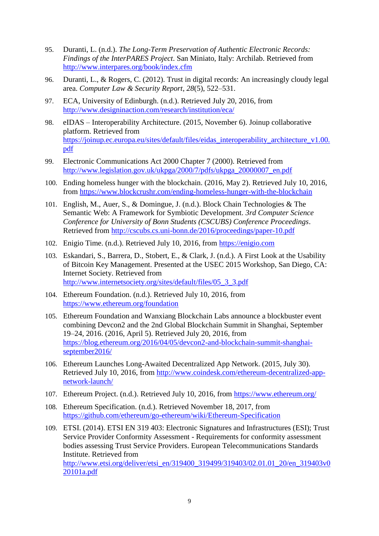- 95. Duranti, L. (n.d.). *The Long-Term Preservation of Authentic Electronic Records: Findings of the InterPARES Project*. San Miniato, Italy: Archilab. Retrieved from <http://www.interpares.org/book/index.cfm>
- 96. Duranti, L., & Rogers, C. (2012). Trust in digital records: An increasingly cloudy legal area. *Computer Law & Security Report*, *28*(5), 522–531.
- 97. ECA, University of Edinburgh. (n.d.). Retrieved July 20, 2016, from <http://www.designinaction.com/research/institution/eca/>
- 98. eIDAS Interoperability Architecture. (2015, November 6). Joinup collaborative platform. Retrieved from [https://joinup.ec.europa.eu/sites/default/files/eidas\\_interoperability\\_architecture\\_v1.00.](https://joinup.ec.europa.eu/sites/default/files/eidas_interoperability_architecture_v1.00.pdf) [pdf](https://joinup.ec.europa.eu/sites/default/files/eidas_interoperability_architecture_v1.00.pdf)
- 99. Electronic Communications Act 2000 Chapter 7 (2000). Retrieved from [http://www.legislation.gov.uk/ukpga/2000/7/pdfs/ukpga\\_20000007\\_en.pdf](http://www.legislation.gov.uk/ukpga/2000/7/pdfs/ukpga_20000007_en.pdf)
- 100. Ending homeless hunger with the blockchain. (2016, May 2). Retrieved July 10, 2016, from<https://www.blockcrushr.com/ending-homeless-hunger-with-the-blockchain>
- 101. English, M., Auer, S., & Domingue, J. (n.d.). Block Chain Technologies & The Semantic Web: A Framework for Symbiotic Development. *3rd Computer Science Conference for University of Bonn Students (CSCUBS) Conference Proceedings*. Retrieved from<http://cscubs.cs.uni-bonn.de/2016/proceedings/paper-10.pdf>
- 102. Enigio Time. (n.d.). Retrieved July 10, 2016, from [https://enigio.com](https://enigio.com/)
- 103. Eskandari, S., Barrera, D., Stobert, E., & Clark, J. (n.d.). A First Look at the Usability of Bitcoin Key Management. Presented at the USEC 2015 Workshop, San Diego, CA: Internet Society. Retrieved from [http://www.internetsociety.org/sites/default/files/05\\_3\\_3.pdf](http://www.internetsociety.org/sites/default/files/05_3_3.pdf)
- 104. Ethereum Foundation. (n.d.). Retrieved July 10, 2016, from <https://www.ethereum.org/foundation>
- 105. Ethereum Foundation and Wanxiang Blockchain Labs announce a blockbuster event combining Devcon2 and the 2nd Global Blockchain Summit in Shanghai, September 19–24, 2016. (2016, April 5). Retrieved July 20, 2016, from [https://blog.ethereum.org/2016/04/05/devcon2-and-blockchain-summit-shanghai](https://blog.ethereum.org/2016/04/05/devcon2-and-blockchain-summit-shanghai-september2016/)[september2016/](https://blog.ethereum.org/2016/04/05/devcon2-and-blockchain-summit-shanghai-september2016/)
- 106. Ethereum Launches Long-Awaited Decentralized App Network. (2015, July 30). Retrieved July 10, 2016, from [http://www.coindesk.com/ethereum-decentralized-app](http://www.coindesk.com/ethereum-decentralized-app-network-launch/)[network-launch/](http://www.coindesk.com/ethereum-decentralized-app-network-launch/)
- 107. Ethereum Project. (n.d.). Retrieved July 10, 2016, from<https://www.ethereum.org/>
- 108. Ethereum Specification. (n.d.). Retrieved November 18, 2017, from <https://github.com/ethereum/go-ethereum/wiki/Ethereum-Specification>
- 109. ETSI. (2014). ETSI EN 319 403: Electronic Signatures and Infrastructures (ESI); Trust Service Provider Conformity Assessment - Requirements for conformity assessment bodies assessing Trust Service Providers. European Telecommunications Standards Institute. Retrieved from [http://www.etsi.org/deliver/etsi\\_en/319400\\_319499/319403/02.01.01\\_20/en\\_319403v0](http://www.etsi.org/deliver/etsi_en/319400_319499/319403/02.01.01_20/en_319403v020101a.pdf) [20101a.pdf](http://www.etsi.org/deliver/etsi_en/319400_319499/319403/02.01.01_20/en_319403v020101a.pdf)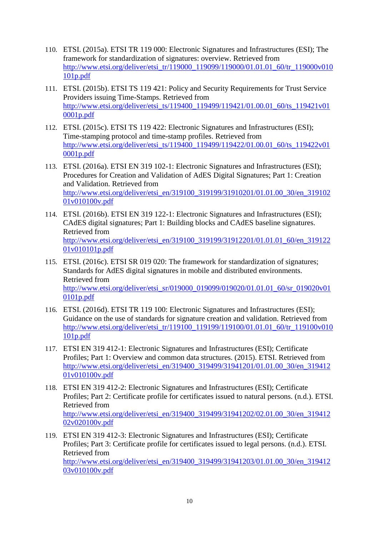- 110. ETSI. (2015a). ETSI TR 119 000: Electronic Signatures and Infrastructures (ESI); The framework for standardization of signatures: overview. Retrieved from [http://www.etsi.org/deliver/etsi\\_tr/119000\\_119099/119000/01.01.01\\_60/tr\\_119000v010](http://www.etsi.org/deliver/etsi_tr/119000_119099/119000/01.01.01_60/tr_119000v010101p.pdf) [101p.pdf](http://www.etsi.org/deliver/etsi_tr/119000_119099/119000/01.01.01_60/tr_119000v010101p.pdf)
- 111. ETSI. (2015b). ETSI TS 119 421: Policy and Security Requirements for Trust Service Providers issuing Time-Stamps. Retrieved from [http://www.etsi.org/deliver/etsi\\_ts/119400\\_119499/119421/01.00.01\\_60/ts\\_119421v01](http://www.etsi.org/deliver/etsi_ts/119400_119499/119421/01.00.01_60/ts_119421v010001p.pdf) [0001p.pdf](http://www.etsi.org/deliver/etsi_ts/119400_119499/119421/01.00.01_60/ts_119421v010001p.pdf)
- 112. ETSI. (2015c). ETSI TS 119 422: Electronic Signatures and Infrastructures (ESI); Time-stamping protocol and time-stamp profiles. Retrieved from [http://www.etsi.org/deliver/etsi\\_ts/119400\\_119499/119422/01.00.01\\_60/ts\\_119422v01](http://www.etsi.org/deliver/etsi_ts/119400_119499/119422/01.00.01_60/ts_119422v010001p.pdf) [0001p.pdf](http://www.etsi.org/deliver/etsi_ts/119400_119499/119422/01.00.01_60/ts_119422v010001p.pdf)
- 113. ETSI. (2016a). ETSI EN 319 102-1: Electronic Signatures and Infrastructures (ESI); Procedures for Creation and Validation of AdES Digital Signatures; Part 1: Creation and Validation. Retrieved from [http://www.etsi.org/deliver/etsi\\_en/319100\\_319199/31910201/01.01.00\\_30/en\\_319102](http://www.etsi.org/deliver/etsi_en/319100_319199/31910201/01.01.00_30/en_31910201v010100v.pdf) [01v010100v.pdf](http://www.etsi.org/deliver/etsi_en/319100_319199/31910201/01.01.00_30/en_31910201v010100v.pdf)
- 114. ETSI. (2016b). ETSI EN 319 122-1: Electronic Signatures and Infrastructures (ESI); CAdES digital signatures; Part 1: Building blocks and CAdES baseline signatures. Retrieved from [http://www.etsi.org/deliver/etsi\\_en/319100\\_319199/31912201/01.01.01\\_60/en\\_319122](http://www.etsi.org/deliver/etsi_en/319100_319199/31912201/01.01.01_60/en_31912201v010101p.pdf) [01v010101p.pdf](http://www.etsi.org/deliver/etsi_en/319100_319199/31912201/01.01.01_60/en_31912201v010101p.pdf)
- 115. ETSI. (2016c). ETSI SR 019 020: The framework for standardization of signatures; Standards for AdES digital signatures in mobile and distributed environments. Retrieved from [http://www.etsi.org/deliver/etsi\\_sr/019000\\_019099/019020/01.01.01\\_60/sr\\_019020v01](http://www.etsi.org/deliver/etsi_sr/019000_019099/019020/01.01.01_60/sr_019020v010101p.pdf) [0101p.pdf](http://www.etsi.org/deliver/etsi_sr/019000_019099/019020/01.01.01_60/sr_019020v010101p.pdf)
- 116. ETSI. (2016d). ETSI TR 119 100: Electronic Signatures and Infrastructures (ESI); Guidance on the use of standards for signature creation and validation. Retrieved from [http://www.etsi.org/deliver/etsi\\_tr/119100\\_119199/119100/01.01.01\\_60/tr\\_119100v010](http://www.etsi.org/deliver/etsi_tr/119100_119199/119100/01.01.01_60/tr_119100v010101p.pdf) [101p.pdf](http://www.etsi.org/deliver/etsi_tr/119100_119199/119100/01.01.01_60/tr_119100v010101p.pdf)
- 117. ETSI EN 319 412-1: Electronic Signatures and Infrastructures (ESI); Certificate Profiles; Part 1: Overview and common data structures. (2015). ETSI. Retrieved from [http://www.etsi.org/deliver/etsi\\_en/319400\\_319499/31941201/01.01.00\\_30/en\\_319412](http://www.etsi.org/deliver/etsi_en/319400_319499/31941201/01.01.00_30/en_31941201v010100v.pdf) [01v010100v.pdf](http://www.etsi.org/deliver/etsi_en/319400_319499/31941201/01.01.00_30/en_31941201v010100v.pdf)
- 118. ETSI EN 319 412-2: Electronic Signatures and Infrastructures (ESI); Certificate Profiles; Part 2: Certificate profile for certificates issued to natural persons. (n.d.). ETSI. Retrieved from [http://www.etsi.org/deliver/etsi\\_en/319400\\_319499/31941202/02.01.00\\_30/en\\_319412](http://www.etsi.org/deliver/etsi_en/319400_319499/31941202/02.01.00_30/en_31941202v020100v.pdf) [02v020100v.pdf](http://www.etsi.org/deliver/etsi_en/319400_319499/31941202/02.01.00_30/en_31941202v020100v.pdf)
- 119. ETSI EN 319 412-3: Electronic Signatures and Infrastructures (ESI); Certificate Profiles; Part 3: Certificate profile for certificates issued to legal persons. (n.d.). ETSI. Retrieved from

[http://www.etsi.org/deliver/etsi\\_en/319400\\_319499/31941203/01.01.00\\_30/en\\_319412](http://www.etsi.org/deliver/etsi_en/319400_319499/31941203/01.01.00_30/en_31941203v010100v.pdf) [03v010100v.pdf](http://www.etsi.org/deliver/etsi_en/319400_319499/31941203/01.01.00_30/en_31941203v010100v.pdf)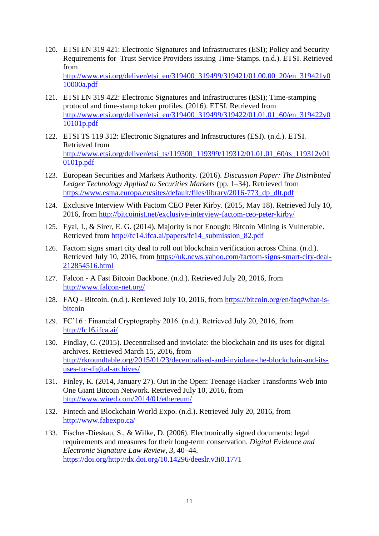- 120. ETSI EN 319 421: Electronic Signatures and Infrastructures (ESI); Policy and Security Requirements for Trust Service Providers issuing Time-Stamps. (n.d.). ETSI. Retrieved from [http://www.etsi.org/deliver/etsi\\_en/319400\\_319499/319421/01.00.00\\_20/en\\_319421v0](http://www.etsi.org/deliver/etsi_en/319400_319499/319421/01.00.00_20/en_319421v010000a.pdf) [10000a.pdf](http://www.etsi.org/deliver/etsi_en/319400_319499/319421/01.00.00_20/en_319421v010000a.pdf)
- 121. ETSI EN 319 422: Electronic Signatures and Infrastructures (ESI); Time-stamping protocol and time-stamp token profiles. (2016). ETSI. Retrieved from [http://www.etsi.org/deliver/etsi\\_en/319400\\_319499/319422/01.01.01\\_60/en\\_319422v0](http://www.etsi.org/deliver/etsi_en/319400_319499/319422/01.01.01_60/en_319422v010101p.pdf) [10101p.pdf](http://www.etsi.org/deliver/etsi_en/319400_319499/319422/01.01.01_60/en_319422v010101p.pdf)
- 122. ETSI TS 119 312: Electronic Signatures and Infrastructures (ESI). (n.d.). ETSI. Retrieved from [http://www.etsi.org/deliver/etsi\\_ts/119300\\_119399/119312/01.01.01\\_60/ts\\_119312v01](http://www.etsi.org/deliver/etsi_ts/119300_119399/119312/01.01.01_60/ts_119312v010101p.pdf) [0101p.pdf](http://www.etsi.org/deliver/etsi_ts/119300_119399/119312/01.01.01_60/ts_119312v010101p.pdf)
- 123. European Securities and Markets Authority. (2016). *Discussion Paper: The Distributed Ledger Technology Applied to Securities Markets* (pp. 1–34). Retrieved from [https://www.esma.europa.eu/sites/default/files/library/2016-773\\_dp\\_dlt.pdf](https://www.esma.europa.eu/sites/default/files/library/2016-773_dp_dlt.pdf)
- 124. Exclusive Interview With Factom CEO Peter Kirby. (2015, May 18). Retrieved July 10, 2016, from<http://bitcoinist.net/exclusive-interview-factom-ceo-peter-kirby/>
- 125. Eyal, I., & Sirer, E. G. (2014). Majority is not Enough: Bitcoin Mining is Vulnerable. Retrieved from [http://fc14.ifca.ai/papers/fc14\\_submission\\_82.pdf](http://fc14.ifca.ai/papers/fc14_submission_82.pdf)
- 126. Factom signs smart city deal to roll out blockchain verification across China. (n.d.). Retrieved July 10, 2016, from [https://uk.news.yahoo.com/factom-signs-smart-city-deal-](https://uk.news.yahoo.com/factom-signs-smart-city-deal-212854516.html)[212854516.html](https://uk.news.yahoo.com/factom-signs-smart-city-deal-212854516.html)
- 127. Falcon A Fast Bitcoin Backbone. (n.d.). Retrieved July 20, 2016, from <http://www.falcon-net.org/>
- 128. FAQ Bitcoin. (n.d.). Retrieved July 10, 2016, from [https://bitcoin.org/en/faq#what-is](https://bitcoin.org/en/faq#what-is-bitcoin)[bitcoin](https://bitcoin.org/en/faq#what-is-bitcoin)
- 129. FC'16 : Financial Cryptography 2016. (n.d.). Retrieved July 20, 2016, from <http://fc16.ifca.ai/>
- 130. Findlay, C. (2015). Decentralised and inviolate: the blockchain and its uses for digital archives. Retrieved March 15, 2016, from [http://rkroundtable.org/2015/01/23/decentralised-and-inviolate-the-blockchain-and-its](http://rkroundtable.org/2015/01/23/decentralised-and-inviolate-the-blockchain-and-its-uses-for-digital-archives/)[uses-for-digital-archives/](http://rkroundtable.org/2015/01/23/decentralised-and-inviolate-the-blockchain-and-its-uses-for-digital-archives/)
- 131. Finley, K. (2014, January 27). Out in the Open: Teenage Hacker Transforms Web Into One Giant Bitcoin Network. Retrieved July 10, 2016, from <http://www.wired.com/2014/01/ethereum/>
- 132. Fintech and Blockchain World Expo. (n.d.). Retrieved July 20, 2016, from <http://www.fabexpo.ca/>
- 133. Fischer-Dieskau, S., & Wilke, D. (2006). Electronically signed documents: legal requirements and measures for their long-term conservation. *Digital Evidence and Electronic Signature Law Review*, *3*, 40–44. [https://doi.org/http://dx.doi.org/10.14296/deeslr.v3i0.1771](https://doi.org/http:/dx.doi.org/10.14296/deeslr.v3i0.1771)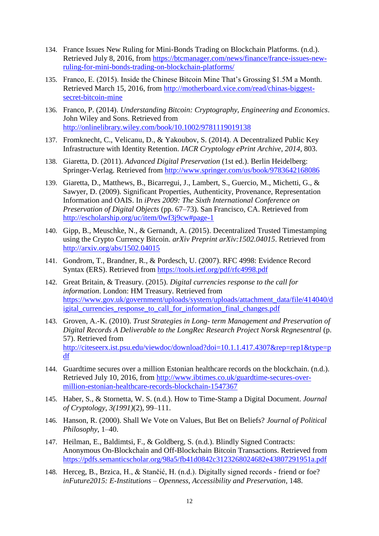- 134. France Issues New Ruling for Mini-Bonds Trading on Blockchain Platforms. (n.d.). Retrieved July 8, 2016, from [https://btcmanager.com/news/finance/france-issues-new](https://btcmanager.com/news/finance/france-issues-new-ruling-for-mini-bonds-trading-on-blockchain-platforms/)[ruling-for-mini-bonds-trading-on-blockchain-platforms/](https://btcmanager.com/news/finance/france-issues-new-ruling-for-mini-bonds-trading-on-blockchain-platforms/)
- 135. Franco, E. (2015). Inside the Chinese Bitcoin Mine That's Grossing \$1.5M a Month. Retrieved March 15, 2016, from [http://motherboard.vice.com/read/chinas-biggest](http://motherboard.vice.com/read/chinas-biggest-secret-bitcoin-mine)[secret-bitcoin-mine](http://motherboard.vice.com/read/chinas-biggest-secret-bitcoin-mine)
- 136. Franco, P. (2014). *Understanding Bitcoin: Cryptography, Engineering and Economics*. John Wiley and Sons. Retrieved from <http://onlinelibrary.wiley.com/book/10.1002/9781119019138>
- 137. Fromknecht, C., Velicanu, D., & Yakoubov, S. (2014). A Decentralized Public Key Infrastructure with Identity Retention. *IACR Cryptology ePrint Archive*, *2014*, 803.
- 138. Giaretta, D. (2011). *Advanced Digital Preservation* (1st ed.). Berlin Heidelberg: Springer-Verlag. Retrieved from<http://www.springer.com/us/book/9783642168086>
- 139. Giaretta, D., Matthews, B., Bicarregui, J., Lambert, S., Guercio, M., Michetti, G., & Sawyer, D. (2009). Significant Properties, Authenticity, Provenance, Representation Information and OAIS. In *iPres 2009: The Sixth International Conference on Preservation of Digital Objects* (pp. 67–73). San Francisco, CA. Retrieved from <http://escholarship.org/uc/item/0wf3j9cw#page-1>
- 140. Gipp, B., Meuschke, N., & Gernandt, A. (2015). Decentralized Trusted Timestamping using the Crypto Currency Bitcoin. *arXiv Preprint arXiv:1502.04015*. Retrieved from <http://arxiv.org/abs/1502.04015>
- 141. Gondrom, T., Brandner, R., & Pordesch, U. (2007). RFC 4998: Evidence Record Syntax (ERS). Retrieved from<https://tools.ietf.org/pdf/rfc4998.pdf>
- 142. Great Britain, & Treasury. (2015). *Digital currencies response to the call for information*. London: HM Treasury. Retrieved from [https://www.gov.uk/government/uploads/system/uploads/attachment\\_data/file/414040/d](https://www.gov.uk/government/uploads/system/uploads/attachment_data/file/414040/digital_currencies_response_to_call_for_information_final_changes.pdf) igital currencies response to call for information final changes.pdf
- 143. Groven, A.-K. (2010). *Trust Strategies in Long- term Management and Preservation of Digital Records A Deliverable to the LongRec Research Project Norsk Regnesentral* (p. 57). Retrieved from [http://citeseerx.ist.psu.edu/viewdoc/download?doi=10.1.1.417.4307&rep=rep1&type=p](http://citeseerx.ist.psu.edu/viewdoc/download?doi=10.1.1.417.4307&rep=rep1&type=pdf) [df](http://citeseerx.ist.psu.edu/viewdoc/download?doi=10.1.1.417.4307&rep=rep1&type=pdf)
- 144. Guardtime secures over a million Estonian healthcare records on the blockchain. (n.d.). Retrieved July 10, 2016, from [http://www.ibtimes.co.uk/guardtime-secures-over](http://www.ibtimes.co.uk/guardtime-secures-over-million-estonian-healthcare-records-blockchain-1547367)[million-estonian-healthcare-records-blockchain-1547367](http://www.ibtimes.co.uk/guardtime-secures-over-million-estonian-healthcare-records-blockchain-1547367)
- 145. Haber, S., & Stornetta, W. S. (n.d.). How to Time-Stamp a Digital Document. *Journal of Cryptology*, *3(1991)*(2), 99–111.
- 146. Hanson, R. (2000). Shall We Vote on Values, But Bet on Beliefs? *Journal of Political Philosophy*, 1–40.
- 147. Heilman, E., Baldimtsi, F., & Goldberg, S. (n.d.). Blindly Signed Contracts: Anonymous On-Blockchain and Off-Blockchain Bitcoin Transactions. Retrieved from <https://pdfs.semanticscholar.org/98a5/fb41d0842c3123268024682e43807291951a.pdf>
- 148. Herceg, B., Brzica, H., & Stančić, H. (n.d.). Digitally signed records friend or foe? *inFuture2015: E-Institutions – Openness, Accessibility and Preservation*, 148.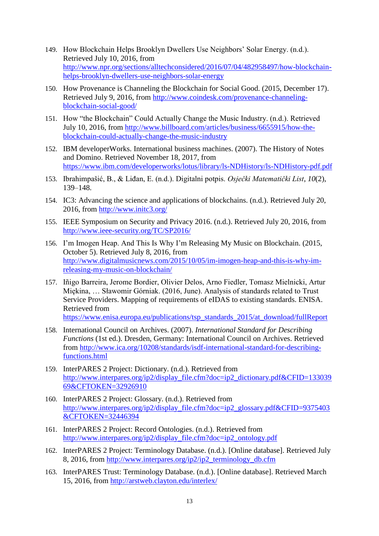- 149. How Blockchain Helps Brooklyn Dwellers Use Neighbors' Solar Energy. (n.d.). Retrieved July 10, 2016, from [http://www.npr.org/sections/alltechconsidered/2016/07/04/482958497/how-blockchain](http://www.npr.org/sections/alltechconsidered/2016/07/04/482958497/how-blockchain-helps-brooklyn-dwellers-use-neighbors-solar-energy)[helps-brooklyn-dwellers-use-neighbors-solar-energy](http://www.npr.org/sections/alltechconsidered/2016/07/04/482958497/how-blockchain-helps-brooklyn-dwellers-use-neighbors-solar-energy)
- 150. How Provenance is Channeling the Blockchain for Social Good. (2015, December 17). Retrieved July 9, 2016, from [http://www.coindesk.com/provenance-channeling](http://www.coindesk.com/provenance-channeling-blockchain-social-good/)[blockchain-social-good/](http://www.coindesk.com/provenance-channeling-blockchain-social-good/)
- 151. How "the Blockchain" Could Actually Change the Music Industry. (n.d.). Retrieved July 10, 2016, from [http://www.billboard.com/articles/business/6655915/how-the](http://www.billboard.com/articles/business/6655915/how-the-blockchain-could-actually-change-the-music-industry)[blockchain-could-actually-change-the-music-industry](http://www.billboard.com/articles/business/6655915/how-the-blockchain-could-actually-change-the-music-industry)
- 152. IBM developerWorks. International business machines. (2007). The History of Notes and Domino. Retrieved November 18, 2017, from <https://www.ibm.com/developerworks/lotus/library/ls-NDHistory/ls-NDHistory-pdf.pdf>
- 153. Ibrahimpašić, B., & Liđan, E. (n.d.). Digitalni potpis. *Osječki Matematički List*, *10*(2), 139–148.
- 154. IC3: Advancing the science and applications of blockchains. (n.d.). Retrieved July 20, 2016, from<http://www.initc3.org/>
- 155. IEEE Symposium on Security and Privacy 2016. (n.d.). Retrieved July 20, 2016, from <http://www.ieee-security.org/TC/SP2016/>
- 156. I'm Imogen Heap. And This Is Why I'm Releasing My Music on Blockchain. (2015, October 5). Retrieved July 8, 2016, from [http://www.digitalmusicnews.com/2015/10/05/im-imogen-heap-and-this-is-why-im](http://www.digitalmusicnews.com/2015/10/05/im-imogen-heap-and-this-is-why-im-releasing-my-music-on-blockchain/)[releasing-my-music-on-blockchain/](http://www.digitalmusicnews.com/2015/10/05/im-imogen-heap-and-this-is-why-im-releasing-my-music-on-blockchain/)
- 157. Iñigo Barreira, Jerome Bordier, Olivier Delos, Arno Fiedler, Tomasz Mielnicki, Artur Miękina, … Sławomir Górniak. (2016, June). Analysis of standards related to Trust Service Providers. Mapping of requirements of eIDAS to existing standards. ENISA. Retrieved from [https://www.enisa.europa.eu/publications/tsp\\_standards\\_2015/at\\_download/fullReport](https://www.enisa.europa.eu/publications/tsp_standards_2015/at_download/fullReport)
- 158. International Council on Archives. (2007). *International Standard for Describing Functions* (1st ed.). Dresden, Germany: International Council on Archives. Retrieved from [http://www.ica.org/10208/standards/isdf-international-standard-for-describing](http://www.ica.org/10208/standards/isdf-international-standard-for-describing-functions.html)[functions.html](http://www.ica.org/10208/standards/isdf-international-standard-for-describing-functions.html)
- 159. InterPARES 2 Project: Dictionary. (n.d.). Retrieved from [http://www.interpares.org/ip2/display\\_file.cfm?doc=ip2\\_dictionary.pdf&CFID=133039](http://www.interpares.org/ip2/display_file.cfm?doc=ip2_dictionary.pdf&CFID=13303969&CFTOKEN=32926910) [69&CFTOKEN=32926910](http://www.interpares.org/ip2/display_file.cfm?doc=ip2_dictionary.pdf&CFID=13303969&CFTOKEN=32926910)
- 160. InterPARES 2 Project: Glossary. (n.d.). Retrieved from [http://www.interpares.org/ip2/display\\_file.cfm?doc=ip2\\_glossary.pdf&CFID=9375403](http://www.interpares.org/ip2/display_file.cfm?doc=ip2_glossary.pdf&CFID=9375403&CFTOKEN=32446394) [&CFTOKEN=32446394](http://www.interpares.org/ip2/display_file.cfm?doc=ip2_glossary.pdf&CFID=9375403&CFTOKEN=32446394)
- 161. InterPARES 2 Project: Record Ontologies. (n.d.). Retrieved from [http://www.interpares.org/ip2/display\\_file.cfm?doc=ip2\\_ontology.pdf](http://www.interpares.org/ip2/display_file.cfm?doc=ip2_ontology.pdf)
- 162. InterPARES 2 Project: Terminology Database. (n.d.). [Online database]. Retrieved July 8, 2016, from [http://www.interpares.org/ip2/ip2\\_terminology\\_db.cfm](http://www.interpares.org/ip2/ip2_terminology_db.cfm)
- 163. InterPARES Trust: Terminology Database. (n.d.). [Online database]. Retrieved March 15, 2016, from<http://arstweb.clayton.edu/interlex/>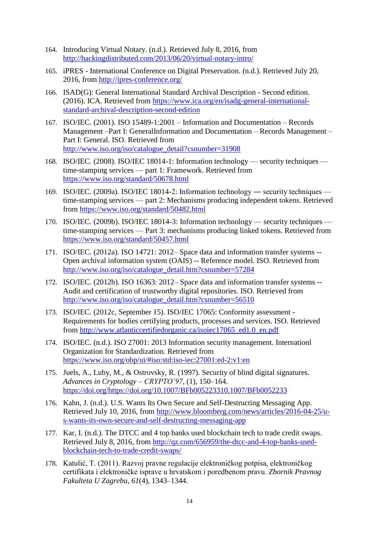- 164. Introducing Virtual Notary. (n.d.). Retrieved July 8, 2016, from <http://hackingdistributed.com/2013/06/20/virtual-notary-intro/>
- 165. iPRES International Conference on Digital Preservation. (n.d.). Retrieved July 20, 2016, from<http://ipres-conference.org/>
- 166. ISAD(G): General International Standard Archival Description Second edition. (2016). ICA. Retrieved from [https://www.ica.org/en/isadg-general-international](https://www.ica.org/en/isadg-general-international-standard-archival-description-second-edition)[standard-archival-description-second-edition](https://www.ica.org/en/isadg-general-international-standard-archival-description-second-edition)
- 167. ISO/IEC. (2001). ISO 15489-1:2001 Information and Documentation Records Management –Part I: GeneralInformation and Documentation – Records Management – Part I: General. ISO. Retrieved from [http://www.iso.org/iso/catalogue\\_detail?csnumber=31908](http://www.iso.org/iso/catalogue_detail?csnumber=31908)
- 168. ISO/IEC. (2008). ISO/IEC 18014-1: Information technology security techniques time-stamping services — part 1: Framework. Retrieved from <https://www.iso.org/standard/50678.html>
- 169. ISO/IEC. (2009a). ISO/IEC 18014-2: Information technology ― security techniques time-stamping services — part 2: Mechanisms producing independent tokens. Retrieved from <https://www.iso.org/standard/50482.html>
- 170. ISO/IEC. (2009b). ISO/IEC 18014-3: Information technology security techniques time-stamping services — Part 3: mechanisms producing linked tokens. Retrieved from <https://www.iso.org/standard/50457.html>
- 171. ISO/IEC. (2012a). ISO 14721: 2012– Space data and information transfer systems -- Open archival information system (OAIS) -- Reference model. ISO. Retrieved from [http://www.iso.org/iso/catalogue\\_detail.htm?csnumber=57284](http://www.iso.org/iso/catalogue_detail.htm?csnumber=57284)
- 172. ISO/IEC. (2012b). ISO 16363: 2012– Space data and information transfer systems -- Audit and certification of trustworthy digital repositories. ISO. Retrieved from [http://www.iso.org/iso/catalogue\\_detail.htm?csnumber=56510](http://www.iso.org/iso/catalogue_detail.htm?csnumber=56510)
- 173. ISO/IEC. (2012c, September 15). ISO/IEC 17065: Conformity assessment Requirements for bodies certifying products, processes and services. ISO. Retrieved from [http://www.atlanticcertifiedorganic.ca/isoiec17065\\_ed1.0\\_en.pdf](http://www.atlanticcertifiedorganic.ca/isoiec17065_ed1.0_en.pdf)
- 174. ISO/IEC. (n.d.). ISO 27001: 2013 Information security management. Internationl Organization for Standardization. Retrieved from <https://www.iso.org/obp/ui/#iso:std:iso-iec:27001:ed-2:v1:en>
- 175. Juels, A., Luby, M., & Ostrovsky, R. (1997). Security of blind digital signatures. *Advances in Cryptology – CRYPTO'97*, (1), 150–164. [https://doi.org/https://doi.org/10.1007/BFb005223310.1007/BFb0052233](https://doi.org/https:/doi.org/10.1007/BFb005223310.1007/BFb0052233)
- 176. Kahn, J. (n.d.). U.S. Wants Its Own Secure and Self-Destructing Messaging App. Retrieved July 10, 2016, from [http://www.bloomberg.com/news/articles/2016-04-25/u](http://www.bloomberg.com/news/articles/2016-04-25/u-s-wants-its-own-secure-and-self-destructing-messaging-app)[s-wants-its-own-secure-and-self-destructing-messaging-app](http://www.bloomberg.com/news/articles/2016-04-25/u-s-wants-its-own-secure-and-self-destructing-messaging-app)
- 177. Kar, I. (n.d.). The DTCC and 4 top banks used blockchain tech to trade credit swaps. Retrieved July 8, 2016, from [http://qz.com/656959/the-dtcc-and-4-top-banks-used](http://qz.com/656959/the-dtcc-and-4-top-banks-used-blockchain-tech-to-trade-credit-swaps/)[blockchain-tech-to-trade-credit-swaps/](http://qz.com/656959/the-dtcc-and-4-top-banks-used-blockchain-tech-to-trade-credit-swaps/)
- 178. Katulić, T. (2011). Razvoj pravne regulacije elektroničkog potpisa, elektroničkog certifikata i elektroničke isprave u hrvatskom i poredbenom pravu. *Zbornik Pravnog Fakulteta U Zagrebu*, *61*(4), 1343–1344.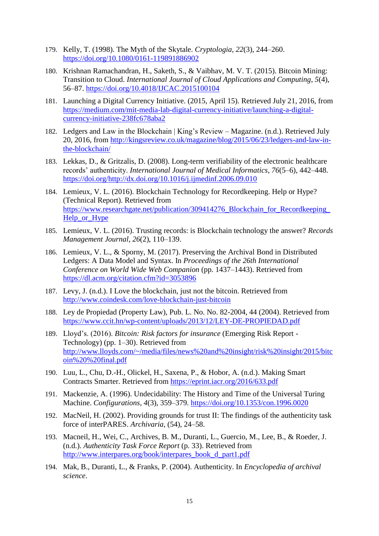- 179. Kelly, T. (1998). The Myth of the Skytale. *Cryptologia*, *22*(3), 244–260. <https://doi.org/10.1080/0161-119891886902>
- 180. Krishnan Ramachandran, H., Saketh, S., & Vaibhav, M. V. T. (2015). Bitcoin Mining: Transition to Cloud. *International Journal of Cloud Applications and Computing*, *5*(4), 56–87.<https://doi.org/10.4018/IJCAC.2015100104>
- 181. Launching a Digital Currency Initiative. (2015, April 15). Retrieved July 21, 2016, from [https://medium.com/mit-media-lab-digital-currency-initiative/launching-a-digital](https://medium.com/mit-media-lab-digital-currency-initiative/launching-a-digital-currency-initiative-238fc678aba2)[currency-initiative-238fc678aba2](https://medium.com/mit-media-lab-digital-currency-initiative/launching-a-digital-currency-initiative-238fc678aba2)
- 182. Ledgers and Law in the Blockchain | King's Review Magazine. (n.d.). Retrieved July 20, 2016, from [http://kingsreview.co.uk/magazine/blog/2015/06/23/ledgers-and-law-in](http://kingsreview.co.uk/magazine/blog/2015/06/23/ledgers-and-law-in-the-blockchain/)[the-blockchain/](http://kingsreview.co.uk/magazine/blog/2015/06/23/ledgers-and-law-in-the-blockchain/)
- 183. Lekkas, D., & Gritzalis, D. (2008). Long-term verifiability of the electronic healthcare records' authenticity. *International Journal of Medical Informatics*, *76*(5–6), 442–448. [https://doi.org/http://dx.doi.org/10.1016/j.ijmedinf.2006.09.010](https://doi.org/http:/dx.doi.org/10.1016/j.ijmedinf.2006.09.010)
- 184. Lemieux, V. L. (2016). Blockchain Technology for Recordkeeping. Help or Hype? (Technical Report). Retrieved from [https://www.researchgate.net/publication/309414276\\_Blockchain\\_for\\_Recordkeeping\\_](https://www.researchgate.net/publication/309414276_Blockchain_for_Recordkeeping_Help_or_Hype) [Help\\_or\\_Hype](https://www.researchgate.net/publication/309414276_Blockchain_for_Recordkeeping_Help_or_Hype)
- 185. Lemieux, V. L. (2016). Trusting records: is Blockchain technology the answer? *Records Management Journal*, *26*(2), 110–139.
- 186. Lemieux, V. L., & Sporny, M. (2017). Preserving the Archival Bond in Distributed Ledgers: A Data Model and Syntax. In *Proceedings of the 26th International Conference on World Wide Web Companion* (pp. 1437–1443). Retrieved from <https://dl.acm.org/citation.cfm?id=3053896>
- 187. Levy, J. (n.d.). I Love the blockchain, just not the bitcoin. Retrieved from <http://www.coindesk.com/love-blockchain-just-bitcoin>
- 188. Ley de Propiedad (Property Law), Pub. L. No. No. 82-2004, 44 (2004). Retrieved from <https://www.ccit.hn/wp-content/uploads/2013/12/LEY-DE-PROPIEDAD.pdf>
- 189. Lloyd's. (2016). *Bitcoin: Risk factors for insurance* (Emerging Risk Report Technology) (pp. 1–30). Retrieved from [http://www.lloyds.com/~/media/files/news%20and%20insight/risk%20insight/2015/bitc](http://www.lloyds.com/~/media/files/news%20and%20insight/risk%20insight/2015/bitcoin%20%20final.pdf) [oin%20%20final.pdf](http://www.lloyds.com/~/media/files/news%20and%20insight/risk%20insight/2015/bitcoin%20%20final.pdf)
- 190. Luu, L., Chu, D.-H., Olickel, H., Saxena, P., & Hobor, A. (n.d.). Making Smart Contracts Smarter. Retrieved from<https://eprint.iacr.org/2016/633.pdf>
- 191. Mackenzie, A. (1996). Undecidability: The History and Time of the Universal Turing Machine. *Configurations*, *4*(3), 359–379.<https://doi.org/10.1353/con.1996.0020>
- 192. MacNeil, H. (2002). Providing grounds for trust II: The findings of the authenticity task force of interPARES. *Archivaria*, (54), 24–58.
- 193. Macneil, H., Wei, C., Archives, B. M., Duranti, L., Guercio, M., Lee, B., & Roeder, J. (n.d.). *Authenticity Task Force Report* (p. 33). Retrieved from [http://www.interpares.org/book/interpares\\_book\\_d\\_part1.pdf](http://www.interpares.org/book/interpares_book_d_part1.pdf)
- 194. Mak, B., Duranti, L., & Franks, P. (2004). Authenticity. In *Encyclopedia of archival science*.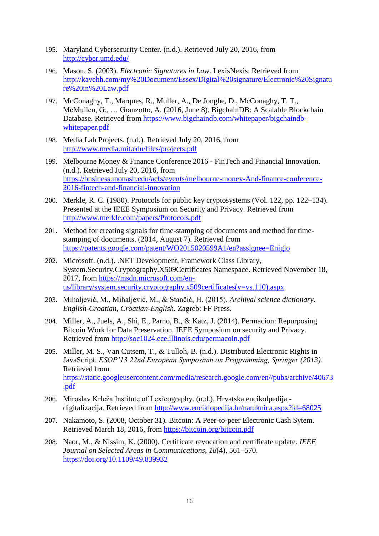- 195. Maryland Cybersecurity Center. (n.d.). Retrieved July 20, 2016, from <http://cyber.umd.edu/>
- 196. Mason, S. (2003). *Electronic Signatures in Law*. LexisNexis. Retrieved from [http://kavehh.com/my%20Document/Essex/Digital%20signature/Electronic%20Signatu](http://kavehh.com/my%20Document/Essex/Digital%20signature/Electronic%20Signature%20in%20Law.pdf) [re%20in%20Law.pdf](http://kavehh.com/my%20Document/Essex/Digital%20signature/Electronic%20Signature%20in%20Law.pdf)
- 197. McConaghy, T., Marques, R., Muller, A., De Jonghe, D., McConaghy, T. T., McMullen, G., … Granzotto, A. (2016, June 8). BigchainDB: A Scalable Blockchain Database. Retrieved from [https://www.bigchaindb.com/whitepaper/bigchaindb](https://www.bigchaindb.com/whitepaper/bigchaindb-whitepaper.pdf)[whitepaper.pdf](https://www.bigchaindb.com/whitepaper/bigchaindb-whitepaper.pdf)
- 198. Media Lab Projects. (n.d.). Retrieved July 20, 2016, from <http://www.media.mit.edu/files/projects.pdf>
- 199. Melbourne Money & Finance Conference 2016 FinTech and Financial Innovation. (n.d.). Retrieved July 20, 2016, from [https://business.monash.edu/acfs/events/melbourne-money-And-finance-conference-](https://business.monash.edu/acfs/events/melbourne-money-And-finance-conference-2016-fintech-and-financial-innovation)[2016-fintech-and-financial-innovation](https://business.monash.edu/acfs/events/melbourne-money-And-finance-conference-2016-fintech-and-financial-innovation)
- 200. Merkle, R. C. (1980). Protocols for public key cryptosystems (Vol. 122, pp. 122–134). Presented at the IEEE Symposium on Security and Privacy. Retrieved from <http://www.merkle.com/papers/Protocols.pdf>
- 201. Method for creating signals for time-stamping of documents and method for timestamping of documents. (2014, August 7). Retrieved from <https://patents.google.com/patent/WO2015020599A1/en?assignee=Enigio>
- 202. Microsoft. (n.d.). .NET Development, Framework Class Library, System.Security.Cryptography.X509Certificates Namespace. Retrieved November 18, 2017, from [https://msdn.microsoft.com/en](https://msdn.microsoft.com/en-us/library/system.security.cryptography.x509certificates(v=vs.110).aspx)[us/library/system.security.cryptography.x509certificates\(v=vs.110\).aspx](https://msdn.microsoft.com/en-us/library/system.security.cryptography.x509certificates(v=vs.110).aspx)
- 203. Mihaljević, M., Mihaljević, M., & Stančić, H. (2015). *Archival science dictionary. English-Croatian, Croatian-English*. Zagreb: FF Press.
- 204. Miller, A., Juels, A., Shi, E., Parno, B., & Katz, J. (2014). Permacion: Repurposing Bitcoin Work for Data Preservation. IEEE Symposium on security and Privacy. Retrieved from<http://soc1024.ece.illinois.edu/permacoin.pdf>
- 205. Miller, M. S., Van Cutsem, T., & Tulloh, B. (n.d.). Distributed Electronic Rights in JavaScript. *ESOP'13 22nd European Symposium on Programming, Springer (2013)*. Retrieved from [https://static.googleusercontent.com/media/research.google.com/en//pubs/archive/40673](https://static.googleusercontent.com/media/research.google.com/en/pubs/archive/40673.pdf) [.pdf](https://static.googleusercontent.com/media/research.google.com/en/pubs/archive/40673.pdf)
- 206. Miroslav Krleža Institute of Lexicography. (n.d.). Hrvatska encikolpedija digitalizacija. Retrieved from<http://www.enciklopedija.hr/natuknica.aspx?id=68025>
- 207. Nakamoto, S. (2008, October 31). Bitcoin: A Peer-to-peer Electronic Cash Sytem. Retrieved March 18, 2016, from<https://bitcoin.org/bitcoin.pdf>
- 208. Naor, M., & Nissim, K. (2000). Certificate revocation and certificate update. *IEEE Journal on Selected Areas in Communications*, *18*(4), 561–570. <https://doi.org/10.1109/49.839932>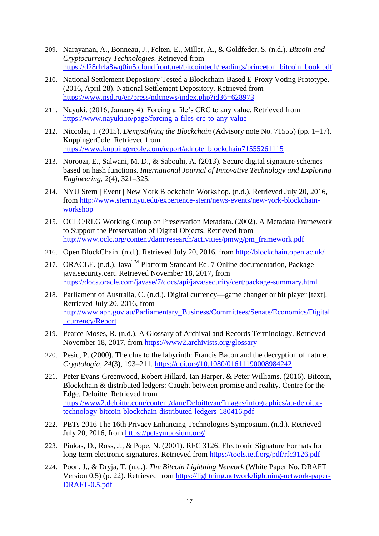- 209. Narayanan, A., Bonneau, J., Felten, E., Miller, A., & Goldfeder, S. (n.d.). *Bitcoin and Cryptocurrency Technologies*. Retrieved from [https://d28rh4a8wq0iu5.cloudfront.net/bitcointech/readings/princeton\\_bitcoin\\_book.pdf](https://d28rh4a8wq0iu5.cloudfront.net/bitcointech/readings/princeton_bitcoin_book.pdf)
- 210. National Settlement Depository Tested a Blockchain-Based E-Proxy Voting Prototype. (2016, April 28). National Settlement Depository. Retrieved from <https://www.nsd.ru/en/press/ndcnews/index.php?id36=628973>
- 211. Nayuki. (2016, January 4). Forcing a file's CRC to any value. Retrieved from <https://www.nayuki.io/page/forcing-a-files-crc-to-any-value>
- 212. Niccolai, I. (2015). *Demystifying the Blockchain* (Advisory note No. 71555) (pp. 1–17). KuppingerCole. Retrieved from [https://www.kuppingercole.com/report/adnote\\_blockchain71555261115](https://www.kuppingercole.com/report/adnote_blockchain71555261115)
- 213. Noroozi, E., Salwani, M. D., & Sabouhi, A. (2013). Secure digital signature schemes based on hash functions. *International Journal of Innovative Technology and Exploring Engineering*, *2*(4), 321–325.
- 214. NYU Stern | Event | New York Blockchain Workshop. (n.d.). Retrieved July 20, 2016, from [http://www.stern.nyu.edu/experience-stern/news-events/new-york-blockchain](http://www.stern.nyu.edu/experience-stern/news-events/new-york-blockchain-workshop)[workshop](http://www.stern.nyu.edu/experience-stern/news-events/new-york-blockchain-workshop)
- 215. OCLC/RLG Working Group on Preservation Metadata. (2002). A Metadata Framework to Support the Preservation of Digital Objects. Retrieved from [http://www.oclc.org/content/dam/research/activities/pmwg/pm\\_framework.pdf](http://www.oclc.org/content/dam/research/activities/pmwg/pm_framework.pdf)
- 216. Open BlockChain. (n.d.). Retrieved July 20, 2016, from<http://blockchain.open.ac.uk/>
- 217. ORACLE. (n.d.). Java<sup>TM</sup> Platform Standard Ed. 7 Online documentation, Package java.security.cert. Retrieved November 18, 2017, from <https://docs.oracle.com/javase/7/docs/api/java/security/cert/package-summary.html>
- 218. Parliament of Australia, C. (n.d.). Digital currency—game changer or bit player [text]. Retrieved July 20, 2016, from [http://www.aph.gov.au/Parliamentary\\_Business/Committees/Senate/Economics/Digital](http://www.aph.gov.au/Parliamentary_Business/Committees/Senate/Economics/Digital_currency/Report) [\\_currency/Report](http://www.aph.gov.au/Parliamentary_Business/Committees/Senate/Economics/Digital_currency/Report)
- 219. Pearce-Moses, R. (n.d.). A Glossary of Archival and Records Terminology. Retrieved November 18, 2017, from<https://www2.archivists.org/glossary>
- 220. Pesic, P. (2000). The clue to the labyrinth: Francis Bacon and the decryption of nature. *Cryptologia*, *24*(3), 193–211.<https://doi.org/10.1080/01611190008984242>
- 221. Peter Evans-Greenwood, Robert Hillard, Ian Harper, & Peter Williams. (2016). Bitcoin, Blockchain & distributed ledgers: Caught between promise and reality. Centre for the Edge, Deloitte. Retrieved from [https://www2.deloitte.com/content/dam/Deloitte/au/Images/infographics/au-deloitte](https://www2.deloitte.com/content/dam/Deloitte/au/Images/infographics/au-deloitte-technology-bitcoin-blockchain-distributed-ledgers-180416.pdf)[technology-bitcoin-blockchain-distributed-ledgers-180416.pdf](https://www2.deloitte.com/content/dam/Deloitte/au/Images/infographics/au-deloitte-technology-bitcoin-blockchain-distributed-ledgers-180416.pdf)
- 222. PETs 2016 The 16th Privacy Enhancing Technologies Symposium. (n.d.). Retrieved July 20, 2016, from<https://petsymposium.org/>
- 223. Pinkas, D., Ross, J., & Pope, N. (2001). RFC 3126: Electronic Signature Formats for long term electronic signatures. Retrieved from<https://tools.ietf.org/pdf/rfc3126.pdf>
- 224. Poon, J., & Dryja, T. (n.d.). *The Bitcoin Lightning Network* (White Paper No. DRAFT Version 0.5) (p. 22). Retrieved from [https://lightning.network/lightning-network-paper-](https://lightning.network/lightning-network-paper-DRAFT-0.5.pdf)[DRAFT-0.5.pdf](https://lightning.network/lightning-network-paper-DRAFT-0.5.pdf)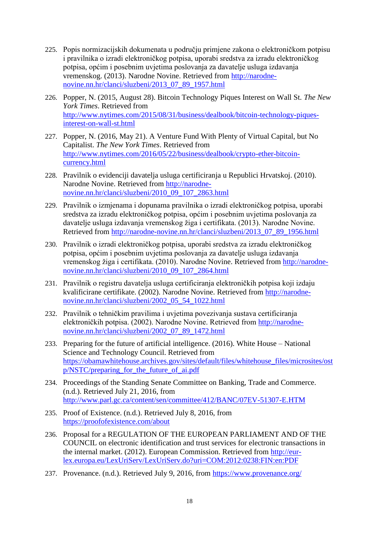- 225. Popis normizacijskih dokumenata u području primjene zakona o elektroničkom potpisu i pravilnika o izradi elektroničkog potpisa, uporabi sredstva za izradu elektroničkog potpisa, općim i posebnim uvjetima poslovanja za davatelje usluga izdavanja vremenskog. (2013). Narodne Novine. Retrieved from [http://narodne](http://narodne-novine.nn.hr/clanci/sluzbeni/2013_07_89_1957.html)[novine.nn.hr/clanci/sluzbeni/2013\\_07\\_89\\_1957.html](http://narodne-novine.nn.hr/clanci/sluzbeni/2013_07_89_1957.html)
- 226. Popper, N. (2015, August 28). Bitcoin Technology Piques Interest on Wall St. *The New York Times*. Retrieved from [http://www.nytimes.com/2015/08/31/business/dealbook/bitcoin-technology-piques](http://www.nytimes.com/2015/08/31/business/dealbook/bitcoin-technology-piques-interest-on-wall-st.html)[interest-on-wall-st.html](http://www.nytimes.com/2015/08/31/business/dealbook/bitcoin-technology-piques-interest-on-wall-st.html)
- 227. Popper, N. (2016, May 21). A Venture Fund With Plenty of Virtual Capital, but No Capitalist. *The New York Times*. Retrieved from [http://www.nytimes.com/2016/05/22/business/dealbook/crypto-ether-bitcoin](http://www.nytimes.com/2016/05/22/business/dealbook/crypto-ether-bitcoin-currency.html)[currency.html](http://www.nytimes.com/2016/05/22/business/dealbook/crypto-ether-bitcoin-currency.html)
- 228. Pravilnik o evidenciji davatelja usluga certificiranja u Republici Hrvatskoj. (2010). Narodne Novine. Retrieved from [http://narodne](http://narodne-novine.nn.hr/clanci/sluzbeni/2010_09_107_2863.html)[novine.nn.hr/clanci/sluzbeni/2010\\_09\\_107\\_2863.html](http://narodne-novine.nn.hr/clanci/sluzbeni/2010_09_107_2863.html)
- 229. Pravilnik o izmjenama i dopunama pravilnika o izradi elektroničkog potpisa, uporabi sredstva za izradu elektroničkog potpisa, općim i posebnim uvjetima poslovanja za davatelje usluga izdavanja vremenskog žiga i certifikata. (2013). Narodne Novine. Retrieved from [http://narodne-novine.nn.hr/clanci/sluzbeni/2013\\_07\\_89\\_1956.html](http://narodne-novine.nn.hr/clanci/sluzbeni/2013_07_89_1956.html)
- 230. Pravilnik o izradi elektroničkog potpisa, uporabi sredstva za izradu elektroničkog potpisa, općim i posebnim uvjetima poslovanja za davatelje usluga izdavanja vremenskog žiga i certifikata. (2010). Narodne Novine. Retrieved from [http://narodne](http://narodne-novine.nn.hr/clanci/sluzbeni/2010_09_107_2864.html)[novine.nn.hr/clanci/sluzbeni/2010\\_09\\_107\\_2864.html](http://narodne-novine.nn.hr/clanci/sluzbeni/2010_09_107_2864.html)
- 231. Pravilnik o registru davatelja usluga certificiranja elektroničkih potpisa koji izdaju kvalificirane certifikate. (2002). Narodne Novine. Retrieved from [http://narodne](http://narodne-novine.nn.hr/clanci/sluzbeni/2002_05_54_1022.html)[novine.nn.hr/clanci/sluzbeni/2002\\_05\\_54\\_1022.html](http://narodne-novine.nn.hr/clanci/sluzbeni/2002_05_54_1022.html)
- 232. Pravilnik o tehničkim pravilima i uvjetima povezivanja sustava certificiranja elektroničkih potpisa. (2002). Narodne Novine. Retrieved from [http://narodne](http://narodne-novine.nn.hr/clanci/sluzbeni/2002_07_89_1472.html)[novine.nn.hr/clanci/sluzbeni/2002\\_07\\_89\\_1472.html](http://narodne-novine.nn.hr/clanci/sluzbeni/2002_07_89_1472.html)
- 233. Preparing for the future of artificial intelligence. (2016). White House National Science and Technology Council. Retrieved from [https://obamawhitehouse.archives.gov/sites/default/files/whitehouse\\_files/microsites/ost](https://obamawhitehouse.archives.gov/sites/default/files/whitehouse_files/microsites/ostp/NSTC/preparing_for_the_future_of_ai.pdf) [p/NSTC/preparing\\_for\\_the\\_future\\_of\\_ai.pdf](https://obamawhitehouse.archives.gov/sites/default/files/whitehouse_files/microsites/ostp/NSTC/preparing_for_the_future_of_ai.pdf)
- 234. Proceedings of the Standing Senate Committee on Banking, Trade and Commerce. (n.d.). Retrieved July 21, 2016, from <http://www.parl.gc.ca/content/sen/committee/412/BANC/07EV-51307-E.HTM>
- 235. Proof of Existence. (n.d.). Retrieved July 8, 2016, from <https://proofofexistence.com/about>
- 236. Proposal for a REGULATION OF THE EUROPEAN PARLIAMENT AND OF THE COUNCIL on electronic identification and trust services for electronic transactions in the internal market. (2012). European Commission. Retrieved from [http://eur](http://eur-lex.europa.eu/LexUriServ/LexUriServ.do?uri=COM:2012:0238:FIN:en:PDF)[lex.europa.eu/LexUriServ/LexUriServ.do?uri=COM:2012:0238:FIN:en:PDF](http://eur-lex.europa.eu/LexUriServ/LexUriServ.do?uri=COM:2012:0238:FIN:en:PDF)
- 237. Provenance. (n.d.). Retrieved July 9, 2016, from<https://www.provenance.org/>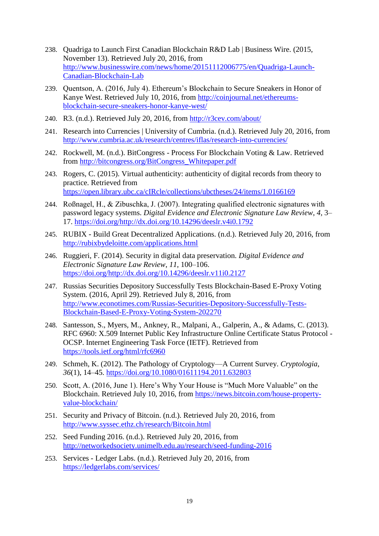- 238. Quadriga to Launch First Canadian Blockchain R&D Lab | Business Wire. (2015, November 13). Retrieved July 20, 2016, from [http://www.businesswire.com/news/home/20151112006775/en/Quadriga-Launch-](http://www.businesswire.com/news/home/20151112006775/en/Quadriga-Launch-Canadian-Blockchain-Lab)[Canadian-Blockchain-Lab](http://www.businesswire.com/news/home/20151112006775/en/Quadriga-Launch-Canadian-Blockchain-Lab)
- 239. Quentson, A. (2016, July 4). Ethereum's Blockchain to Secure Sneakers in Honor of Kanye West. Retrieved July 10, 2016, from [http://coinjournal.net/ethereums](http://coinjournal.net/ethereums-blockchain-secure-sneakers-honor-kanye-west/)[blockchain-secure-sneakers-honor-kanye-west/](http://coinjournal.net/ethereums-blockchain-secure-sneakers-honor-kanye-west/)
- 240. R3. (n.d.). Retrieved July 20, 2016, from<http://r3cev.com/about/>
- 241. Research into Currencies | University of Cumbria. (n.d.). Retrieved July 20, 2016, from <http://www.cumbria.ac.uk/research/centres/iflas/research-into-currencies/>
- 242. Rockwell, M. (n.d.). BitCongress Process For Blockchain Voting & Law. Retrieved from [http://bitcongress.org/BitCongress\\_Whitepaper.pdf](http://bitcongress.org/BitCongress_Whitepaper.pdf)
- 243. Rogers, C. (2015). Virtual authenticity: authenticity of digital records from theory to practice. Retrieved from <https://open.library.ubc.ca/cIRcle/collections/ubctheses/24/items/1.0166169>
- 244. Roßnagel, H., & Zibuschka, J. (2007). Integrating qualified electronic signatures with password legacy systems. *Digital Evidence and Electronic Signature Law Review*, *4*, 3– 17. [https://doi.org/http://dx.doi.org/10.14296/deeslr.v4i0.1792](https://doi.org/http:/dx.doi.org/10.14296/deeslr.v4i0.1792)
- 245. RUBIX Build Great Decentralized Applications. (n.d.). Retrieved July 20, 2016, from <http://rubixbydeloitte.com/applications.html>
- 246. Ruggieri, F. (2014). Security in digital data preservation. *Digital Evidence and Electronic Signature Law Review*, *11*, 100–106. [https://doi.org/http://dx.doi.org/10.14296/deeslr.v11i0.2127](https://doi.org/http:/dx.doi.org/10.14296/deeslr.v11i0.2127)
- 247. Russias Securities Depository Successfully Tests Blockchain-Based E-Proxy Voting System. (2016, April 29). Retrieved July 8, 2016, from [http://www.econotimes.com/Russias-Securities-Depository-Successfully-Tests-](http://www.econotimes.com/Russias-Securities-Depository-Successfully-Tests-Blockchain-Based-E-Proxy-Voting-System-202270)[Blockchain-Based-E-Proxy-Voting-System-202270](http://www.econotimes.com/Russias-Securities-Depository-Successfully-Tests-Blockchain-Based-E-Proxy-Voting-System-202270)
- 248. Santesson, S., Myers, M., Ankney, R., Malpani, A., Galperin, A., & Adams, C. (2013). RFC 6960: X.509 Internet Public Key Infrastructure Online Certificate Status Protocol - OCSP. Internet Engineering Task Force (IETF). Retrieved from <https://tools.ietf.org/html/rfc6960>
- 249. Schmeh, K. (2012). The Pathology of Cryptology—A Current Survey. *Cryptologia*, *36*(1), 14–45.<https://doi.org/10.1080/01611194.2011.632803>
- 250. Scott, A. (2016, June 1). Here's Why Your House is "Much More Valuable" on the Blockchain. Retrieved July 10, 2016, from [https://news.bitcoin.com/house-property](https://news.bitcoin.com/house-property-value-blockchain/)[value-blockchain/](https://news.bitcoin.com/house-property-value-blockchain/)
- 251. Security and Privacy of Bitcoin. (n.d.). Retrieved July 20, 2016, from <http://www.syssec.ethz.ch/research/Bitcoin.html>
- 252. Seed Funding 2016. (n.d.). Retrieved July 20, 2016, from <http://networkedsociety.unimelb.edu.au/research/seed-funding-2016>
- 253. Services Ledger Labs. (n.d.). Retrieved July 20, 2016, from <https://ledgerlabs.com/services/>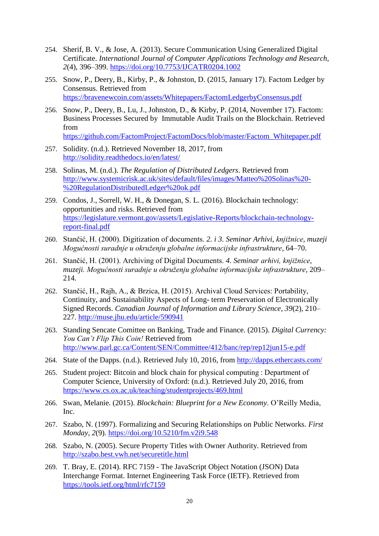- 254. Sherif, B. V., & Jose, A. (2013). Secure Communication Using Generalized Digital Certificate. *International Journal of Computer Applications Technology and Research*, *2*(4), 396–399.<https://doi.org/10.7753/IJCATR0204.1002>
- 255. Snow, P., Deery, B., Kirby, P., & Johnston, D. (2015, January 17). Factom Ledger by Consensus. Retrieved from <https://bravenewcoin.com/assets/Whitepapers/FactomLedgerbyConsensus.pdf>
- 256. Snow, P., Deery, B., Lu, J., Johnston, D., & Kirby, P. (2014, November 17). Factom: Business Processes Secured by Immutable Audit Trails on the Blockchain. Retrieved from

[https://github.com/FactomProject/FactomDocs/blob/master/Factom\\_Whitepaper.pdf](https://github.com/FactomProject/FactomDocs/blob/master/Factom_Whitepaper.pdf)

- 257. Solidity. (n.d.). Retrieved November 18, 2017, from <http://solidity.readthedocs.io/en/latest/>
- 258. Solinas, M. (n.d.). *The Regulation of Distributed Ledgers*. Retrieved from [http://www.systemicrisk.ac.uk/sites/default/files/images/Matteo%20Solinas%20-](http://www.systemicrisk.ac.uk/sites/default/files/images/Matteo%20Solinas%20-%20RegulationDistributedLedger%20ok.pdf) [%20RegulationDistributedLedger%20ok.pdf](http://www.systemicrisk.ac.uk/sites/default/files/images/Matteo%20Solinas%20-%20RegulationDistributedLedger%20ok.pdf)
- 259. Condos, J., Sorrell, W. H., & Donegan, S. L. (2016). Blockchain technology: opportunities and risks. Retrieved from [https://legislature.vermont.gov/assets/Legislative-Reports/blockchain-technology](https://legislature.vermont.gov/assets/Legislative-Reports/blockchain-technology-report-final.pdf)[report-final.pdf](https://legislature.vermont.gov/assets/Legislative-Reports/blockchain-technology-report-final.pdf)
- 260. Stančić, H. (2000). Digitization of documents. *2. i 3. Seminar Arhivi, knjižnice, muzeji Mogućnosti suradnje u okruženju globalne informacijske infrastrukture*, 64–70.
- 261. Stančić, H. (2001). Archiving of Digital Documents. *4. Seminar arhivi, knjižnice, muzeji. Mogućnosti suradnje u okruženju globalne informacijske infrastrukture*, 209– 214.
- 262. Stančić, H., Rajh, A., & Brzica, H. (2015). Archival Cloud Services: Portability, Continuity, and Sustainability Aspects of Long- term Preservation of Electronically Signed Records. *Canadian Journal of Information and Library Science*, *39*(2), 210– 227. <http://muse.jhu.edu/article/590941>
- 263. Standing Sencate Comittee on Banking, Trade and Finance. (2015). *Digital Currency: You Can't Flip This Coin!* Retrieved from <http://www.parl.gc.ca/Content/SEN/Committee/412/banc/rep/rep12jun15-e.pdf>
- 264. State of the Dapps. (n.d.). Retrieved July 10, 2016, from<http://dapps.ethercasts.com/>
- 265. Student project: Bitcoin and block chain for physical computing : Department of Computer Science, University of Oxford: (n.d.). Retrieved July 20, 2016, from <https://www.cs.ox.ac.uk/teaching/studentprojects/469.html>
- 266. Swan, Melanie. (2015). *Blockchain: Blueprint for a New Economy*. O'Reilly Media, Inc.
- 267. Szabo, N. (1997). Formalizing and Securing Relationships on Public Networks. *First Monday*, *2*(9).<https://doi.org/10.5210/fm.v2i9.548>
- 268. Szabo, N. (2005). Secure Property Titles with Owner Authority. Retrieved from <http://szabo.best.vwh.net/securetitle.html>
- 269. T. Bray, E. (2014). RFC 7159 The JavaScript Object Notation (JSON) Data Interchange Format. Internet Engineering Task Force (IETF). Retrieved from <https://tools.ietf.org/html/rfc7159>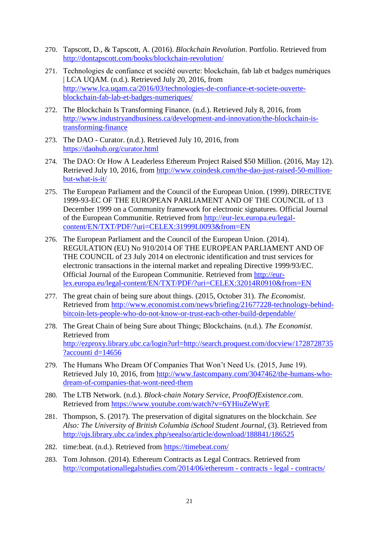- 270. Tapscott, D., & Tapscott, A. (2016). *Blockchain Revolution*. Portfolio. Retrieved from <http://dontapscott.com/books/blockchain-revolution/>
- 271. Technologies de confiance et société ouverte: blockchain, fab lab et badges numériques | LCA UQAM. (n.d.). Retrieved July 20, 2016, from [http://www.lca.uqam.ca/2016/03/technologies-de-confiance-et-societe-ouverte](http://www.lca.uqam.ca/2016/03/technologies-de-confiance-et-societe-ouverte-blockchain-fab-lab-et-badges-numeriques/)[blockchain-fab-lab-et-badges-numeriques/](http://www.lca.uqam.ca/2016/03/technologies-de-confiance-et-societe-ouverte-blockchain-fab-lab-et-badges-numeriques/)
- 272. The Blockchain Is Transforming Finance. (n.d.). Retrieved July 8, 2016, from [http://www.industryandbusiness.ca/development-and-innovation/the-blockchain-is](http://www.industryandbusiness.ca/development-and-innovation/the-blockchain-is-transforming-finance)[transforming-finance](http://www.industryandbusiness.ca/development-and-innovation/the-blockchain-is-transforming-finance)
- 273. The DAO Curator. (n.d.). Retrieved July 10, 2016, from <https://daohub.org/curator.html>
- 274. The DAO: Or How A Leaderless Ethereum Project Raised \$50 Million. (2016, May 12). Retrieved July 10, 2016, from [http://www.coindesk.com/the-dao-just-raised-50-million](http://www.coindesk.com/the-dao-just-raised-50-million-but-what-is-it/)[but-what-is-it/](http://www.coindesk.com/the-dao-just-raised-50-million-but-what-is-it/)
- 275. The European Parliament and the Council of the European Union. (1999). DIRECTIVE 1999-93-EC OF THE EUROPEAN PARLIAMENT AND OF THE COUNCIL of 13 December 1999 on a Community framework for electronic signatures. Official Journal of the European Communitie. Retrieved from [http://eur-lex.europa.eu/legal](http://eur-lex.europa.eu/legal-content/EN/TXT/PDF/?uri=CELEX:31999L0093&from=EN)[content/EN/TXT/PDF/?uri=CELEX:31999L0093&from=EN](http://eur-lex.europa.eu/legal-content/EN/TXT/PDF/?uri=CELEX:31999L0093&from=EN)
- 276. The European Parliament and the Council of the European Union. (2014). REGULATION (EU) No 910/2014 OF THE EUROPEAN PARLIAMENT AND OF THE COUNCIL of 23 July 2014 on electronic identification and trust services for electronic transactions in the internal market and repealing Directive 1999/93/EC. Official Journal of the European Communitie. Retrieved from [http://eur](http://eur-lex.europa.eu/legal-content/EN/TXT/PDF/?uri=CELEX:32014R0910&from=EN)[lex.europa.eu/legal-content/EN/TXT/PDF/?uri=CELEX:32014R0910&from=EN](http://eur-lex.europa.eu/legal-content/EN/TXT/PDF/?uri=CELEX:32014R0910&from=EN)
- 277. The great chain of being sure about things. (2015, October 31). *The Economist*. Retrieved from [http://www.economist.com/news/briefing/21677228-technology-behind](http://www.economist.com/news/briefing/21677228-technology-behind-bitcoin-lets-people-who-do-not-know-or-trust-each-other-build-dependable/)[bitcoin-lets-people-who-do-not-know-or-trust-each-other-build-dependable/](http://www.economist.com/news/briefing/21677228-technology-behind-bitcoin-lets-people-who-do-not-know-or-trust-each-other-build-dependable/)
- 278. The Great Chain of being Sure about Things; Blockchains. (n.d.). *The Economist*. Retrieved from [http://ezproxy.library.ubc.ca/login?url=http://search.proquest.com/docview/1728728735](http://ezproxy.library.ubc.ca/login?url=http://search.proquest.com/docview/1728728735?accounti%20d=14656) [?accounti d=14656](http://ezproxy.library.ubc.ca/login?url=http://search.proquest.com/docview/1728728735?accounti%20d=14656)
- 279. The Humans Who Dream Of Companies That Won't Need Us. (2015, June 19). Retrieved July 10, 2016, from [http://www.fastcompany.com/3047462/the-humans-who](http://www.fastcompany.com/3047462/the-humans-who-dream-of-companies-that-wont-need-them)[dream-of-companies-that-wont-need-them](http://www.fastcompany.com/3047462/the-humans-who-dream-of-companies-that-wont-need-them)
- 280. The LTB Network. (n.d.). *Block-chain Notary Service, ProofOfExistence.com*. Retrieved from<https://www.youtube.com/watch?v=6YHiuZeWyrE>
- 281. Thompson, S. (2017). The preservation of digital signatures on the blockchain. *See Also: The University of British Columbia iSchool Student Journal*, (3). Retrieved from <http://ojs.library.ubc.ca/index.php/seealso/article/download/188841/186525>
- 282. time:beat. (n.d.). Retrieved from<https://timebeat.com/>
- 283. Tom Johnson. (2014). Ethereum Contracts as Legal Contracs. Retrieved from [http://computationallegalstudies.com/2014/06/ethereum -](http://computationallegalstudies.com/2014/06/ethereum%20-%20contracts%20-%20legal%20-%20contracts/) contracts - legal - contracts/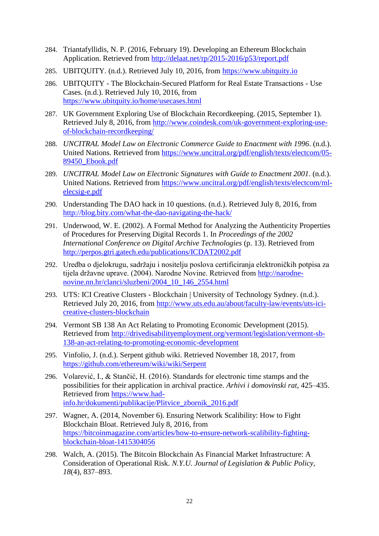- 284. Triantafyllidis, N. P. (2016, February 19). Developing an Ethereum Blockchain Application. Retrieved from<http://delaat.net/rp/2015-2016/p53/report.pdf>
- 285. UBITQUITY. (n.d.). Retrieved July 10, 2016, from [https://www.ubitquity.io](https://www.ubitquity.io/)
- 286. UBITQUITY The Blockchain-Secured Platform for Real Estate Transactions Use Cases. (n.d.). Retrieved July 10, 2016, from <https://www.ubitquity.io/home/usecases.html>
- 287. UK Government Exploring Use of Blockchain Recordkeeping. (2015, September 1). Retrieved July 8, 2016, from [http://www.coindesk.com/uk-government-exploring-use](http://www.coindesk.com/uk-government-exploring-use-of-blockchain-recordkeeping/)[of-blockchain-recordkeeping/](http://www.coindesk.com/uk-government-exploring-use-of-blockchain-recordkeeping/)
- 288. *UNCITRAL Model Law on Electronic Commerce Guide to Enactment with 1996*. (n.d.). United Nations. Retrieved from [https://www.uncitral.org/pdf/english/texts/electcom/05-](https://www.uncitral.org/pdf/english/texts/electcom/05-89450_Ebook.pdf) [89450\\_Ebook.pdf](https://www.uncitral.org/pdf/english/texts/electcom/05-89450_Ebook.pdf)
- 289. *UNCITRAL Model Law on Electronic Signatures with Guide to Enactment 2001*. (n.d.). United Nations. Retrieved from [https://www.uncitral.org/pdf/english/texts/electcom/ml](https://www.uncitral.org/pdf/english/texts/electcom/ml-elecsig-e.pdf)[elecsig-e.pdf](https://www.uncitral.org/pdf/english/texts/electcom/ml-elecsig-e.pdf)
- 290. Understanding The DAO hack in 10 questions. (n.d.). Retrieved July 8, 2016, from <http://blog.bity.com/what-the-dao-navigating-the-hack/>
- 291. Underwood, W. E. (2002). A Formal Method for Analyzing the Authenticity Properties of Procedures for Preserving Digital Records 1. In *Proceedings of the 2002 International Conference on Digital Archive Technologies* (p. 13). Retrieved from <http://perpos.gtri.gatech.edu/publications/ICDAT2002.pdf>
- 292. Uredba o djelokrugu, sadržaju i nositelju poslova certificiranja elektroničkih potpisa za tijela državne uprave. (2004). Narodne Novine. Retrieved from [http://narodne](http://narodne-novine.nn.hr/clanci/sluzbeni/2004_10_146_2554.html)[novine.nn.hr/clanci/sluzbeni/2004\\_10\\_146\\_2554.html](http://narodne-novine.nn.hr/clanci/sluzbeni/2004_10_146_2554.html)
- 293. UTS: ICI Creative Clusters Blockchain | University of Technology Sydney. (n.d.). Retrieved July 20, 2016, from [http://www.uts.edu.au/about/faculty-law/events/uts-ici](http://www.uts.edu.au/about/faculty-law/events/uts-ici-creative-clusters-blockchain)[creative-clusters-blockchain](http://www.uts.edu.au/about/faculty-law/events/uts-ici-creative-clusters-blockchain)
- 294. Vermont SB 138 An Act Relating to Promoting Economic Development (2015). Retrieved from [http://drivedisabilityemployment.org/vermont/legislation/vermont-sb-](http://drivedisabilityemployment.org/vermont/legislation/vermont-sb-138-an-act-relating-to-promoting-economic-development)[138-an-act-relating-to-promoting-economic-development](http://drivedisabilityemployment.org/vermont/legislation/vermont-sb-138-an-act-relating-to-promoting-economic-development)
- 295. Vinfolio, J. (n.d.). Serpent github wiki. Retrieved November 18, 2017, from <https://github.com/ethereum/wiki/wiki/Serpent>
- 296. Volarević, I., & Stančić, H. (2016). Standards for electronic time stamps and the possibilities for their application in archival practice. *Arhivi i domovinski rat*, 425–435. Retrieved from [https://www.had](https://www.had-info.hr/dokumenti/publikacije/Plitvice_zbornik_2016.pdf)[info.hr/dokumenti/publikacije/Plitvice\\_zbornik\\_2016.pdf](https://www.had-info.hr/dokumenti/publikacije/Plitvice_zbornik_2016.pdf)
- 297. Wagner, A. (2014, November 6). Ensuring Network Scalibility: How to Fight Blockchain Bloat. Retrieved July 8, 2016, from [https://bitcoinmagazine.com/articles/how-to-ensure-network-scalibility-fighting](https://bitcoinmagazine.com/articles/how-to-ensure-network-scalibility-fighting-blockchain-bloat-1415304056)[blockchain-bloat-1415304056](https://bitcoinmagazine.com/articles/how-to-ensure-network-scalibility-fighting-blockchain-bloat-1415304056)
- 298. Walch, A. (2015). The Bitcoin Blockchain As Financial Market Infrastructure: A Consideration of Operational Risk. *N.Y.U. Journal of Legislation & Public Policy*, *18*(4), 837–893.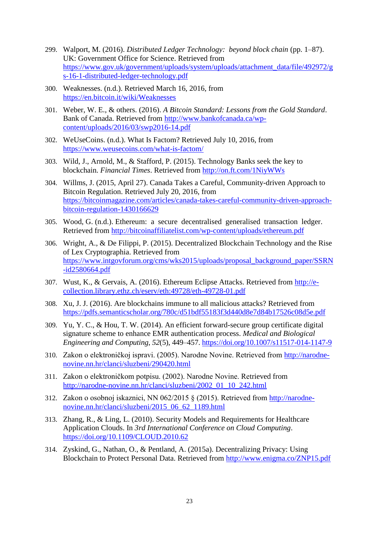- 299. Walport, M. (2016). *Distributed Ledger Technology: beyond block chain* (pp. 1–87). UK: Government Office for Science. Retrieved from [https://www.gov.uk/government/uploads/system/uploads/attachment\\_data/file/492972/g](https://www.gov.uk/government/uploads/system/uploads/attachment_data/file/492972/gs-16-1-distributed-ledger-technology.pdf) [s-16-1-distributed-ledger-technology.pdf](https://www.gov.uk/government/uploads/system/uploads/attachment_data/file/492972/gs-16-1-distributed-ledger-technology.pdf)
- 300. Weaknesses. (n.d.). Retrieved March 16, 2016, from <https://en.bitcoin.it/wiki/Weaknesses>
- 301. Weber, W. E., & others. (2016). *A Bitcoin Standard: Lessons from the Gold Standard*. Bank of Canada. Retrieved from [http://www.bankofcanada.ca/wp](http://www.bankofcanada.ca/wp-content/uploads/2016/03/swp2016-14.pdf)[content/uploads/2016/03/swp2016-14.pdf](http://www.bankofcanada.ca/wp-content/uploads/2016/03/swp2016-14.pdf)
- 302. WeUseCoins. (n.d.). What Is Factom? Retrieved July 10, 2016, from <https://www.weusecoins.com/what-is-factom/>
- 303. Wild, J., Arnold, M., & Stafford, P. (2015). Technology Banks seek the key to blockchain. *Financial Times*. Retrieved from<http://on.ft.com/1NiyWWs>
- 304. Willms, J. (2015, April 27). Canada Takes a Careful, Community-driven Approach to Bitcoin Regulation. Retrieved July 20, 2016, from [https://bitcoinmagazine.com/articles/canada-takes-careful-community-driven-approach](https://bitcoinmagazine.com/articles/canada-takes-careful-community-driven-approach-bitcoin-regulation-1430166629)[bitcoin-regulation-1430166629](https://bitcoinmagazine.com/articles/canada-takes-careful-community-driven-approach-bitcoin-regulation-1430166629)
- 305. Wood, G. (n.d.). Ethereum: a secure decentralised generalised transaction ledger. Retrieved from<http://bitcoinaffiliatelist.com/wp-content/uploads/ethereum.pdf>
- 306. Wright, A., & De Filippi, P. (2015). Decentralized Blockchain Technology and the Rise of Lex Cryptographia. Retrieved from [https://www.intgovforum.org/cms/wks2015/uploads/proposal\\_background\\_paper/SSRN](https://www.intgovforum.org/cms/wks2015/uploads/proposal_background_paper/SSRN-id2580664.pdf) [-id2580664.pdf](https://www.intgovforum.org/cms/wks2015/uploads/proposal_background_paper/SSRN-id2580664.pdf)
- 307. Wust, K., & Gervais, A. (2016). Ethereum Eclipse Attacks. Retrieved from [http://e](http://e-collection.library.ethz.ch/eserv/eth:49728/eth-49728-01.pdf)[collection.library.ethz.ch/eserv/eth:49728/eth-49728-01.pdf](http://e-collection.library.ethz.ch/eserv/eth:49728/eth-49728-01.pdf)
- 308. Xu, J. J. (2016). Are blockchains immune to all malicious attacks? Retrieved from <https://pdfs.semanticscholar.org/780c/d51bdf55183f3d440d8e7d84b17526c08d5e.pdf>
- 309. Yu, Y. C., & Hou, T. W. (2014). An efficient forward-secure group certificate digital signature scheme to enhance EMR authentication process. *Medical and Biological Engineering and Computing*, *52*(5), 449–457.<https://doi.org/10.1007/s11517-014-1147-9>
- 310. Zakon o elektroničkoj ispravi. (2005). Narodne Novine. Retrieved from [http://narodne](http://narodne-novine.nn.hr/clanci/sluzbeni/290420.html)[novine.nn.hr/clanci/sluzbeni/290420.html](http://narodne-novine.nn.hr/clanci/sluzbeni/290420.html)
- 311. Zakon o elektroničkom potpisu. (2002). Narodne Novine. Retrieved from [http://narodne-novine.nn.hr/clanci/sluzbeni/2002\\_01\\_10\\_242.html](http://narodne-novine.nn.hr/clanci/sluzbeni/2002_01_10_242.html)
- 312. Zakon o osobnoj iskaznici, NN 062/2015 § (2015). Retrieved from [http://narodne](http://narodne-novine.nn.hr/clanci/sluzbeni/2015_06_62_1189.html)[novine.nn.hr/clanci/sluzbeni/2015\\_06\\_62\\_1189.html](http://narodne-novine.nn.hr/clanci/sluzbeni/2015_06_62_1189.html)
- 313. Zhang, R., & Ling, L. (2010). Security Models and Requirements for Healthcare Application Clouds. In *3rd International Conference on Cloud Computing*. <https://doi.org/10.1109/CLOUD.2010.62>
- 314. Zyskind, G., Nathan, O., & Pentland, A. (2015a). Decentralizing Privacy: Using Blockchain to Protect Personal Data. Retrieved from<http://www.enigma.co/ZNP15.pdf>